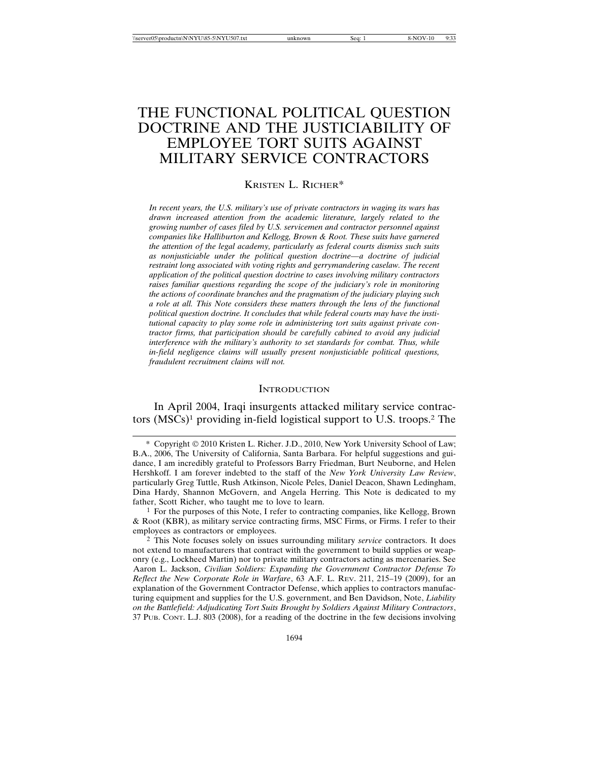# THE FUNCTIONAL POLITICAL QUESTION DOCTRINE AND THE JUSTICIABILITY OF EMPLOYEE TORT SUITS AGAINST MILITARY SERVICE CONTRACTORS

KRISTEN L. RICHER\*

*In recent years, the U.S. military's use of private contractors in waging its wars has drawn increased attention from the academic literature, largely related to the growing number of cases filed by U.S. servicemen and contractor personnel against companies like Halliburton and Kellogg, Brown & Root. These suits have garnered the attention of the legal academy, particularly as federal courts dismiss such suits as nonjusticiable under the political question doctrine—a doctrine of judicial restraint long associated with voting rights and gerrymandering caselaw. The recent application of the political question doctrine to cases involving military contractors raises familiar questions regarding the scope of the judiciary's role in monitoring the actions of coordinate branches and the pragmatism of the judiciary playing such a role at all. This Note considers these matters through the lens of the functional political question doctrine. It concludes that while federal courts may have the institutional capacity to play some role in administering tort suits against private contractor firms, that participation should be carefully cabined to avoid any judicial interference with the military's authority to set standards for combat. Thus, while in-field negligence claims will usually present nonjusticiable political questions, fraudulent recruitment claims will not.*

#### **INTRODUCTION**

In April 2004, Iraqi insurgents attacked military service contractors (MSCs)1 providing in-field logistical support to U.S. troops.2 The

<sup>\*</sup> Copyright 2010 Kristen L. Richer. J.D., 2010, New York University School of Law; B.A., 2006, The University of California, Santa Barbara. For helpful suggestions and guidance, I am incredibly grateful to Professors Barry Friedman, Burt Neuborne, and Helen Hershkoff. I am forever indebted to the staff of the *New York University Law Review*, particularly Greg Tuttle, Rush Atkinson, Nicole Peles, Daniel Deacon, Shawn Ledingham, Dina Hardy, Shannon McGovern, and Angela Herring. This Note is dedicated to my father, Scott Richer, who taught me to love to learn.

<sup>1</sup> For the purposes of this Note, I refer to contracting companies, like Kellogg, Brown & Root (KBR), as military service contracting firms, MSC Firms, or Firms. I refer to their employees as contractors or employees.

<sup>2</sup> This Note focuses solely on issues surrounding military *service* contractors. It does not extend to manufacturers that contract with the government to build supplies or weaponry (e.g., Lockheed Martin) nor to private military contractors acting as mercenaries. See Aaron L. Jackson, *Civilian Soldiers: Expanding the Government Contractor Defense To Reflect the New Corporate Role in Warfare*, 63 A.F. L. REV. 211, 215–19 (2009), for an explanation of the Government Contractor Defense, which applies to contractors manufacturing equipment and supplies for the U.S. government, and Ben Davidson, Note, *Liability on the Battlefield: Adjudicating Tort Suits Brought by Soldiers Against Military Contractors*, 37 PUB. CONT. L.J. 803 (2008), for a reading of the doctrine in the few decisions involving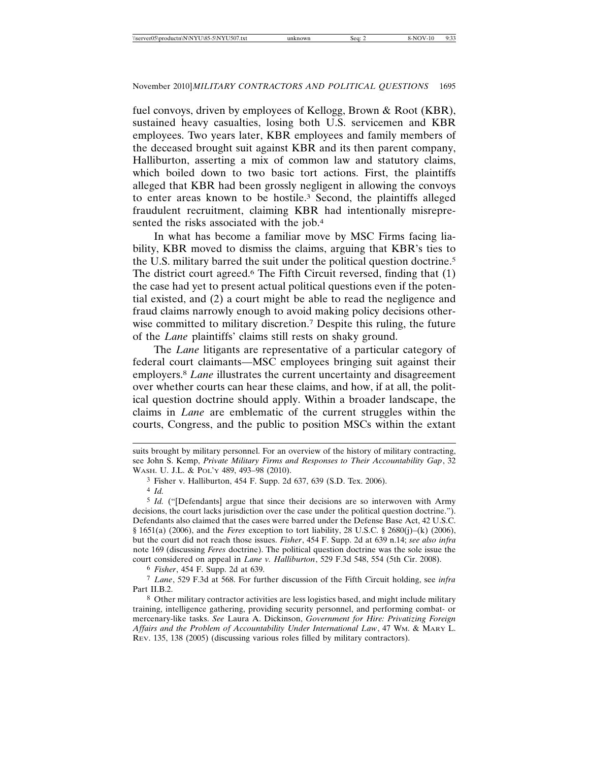fuel convoys, driven by employees of Kellogg, Brown & Root (KBR), sustained heavy casualties, losing both U.S. servicemen and KBR employees. Two years later, KBR employees and family members of the deceased brought suit against KBR and its then parent company, Halliburton, asserting a mix of common law and statutory claims, which boiled down to two basic tort actions. First, the plaintiffs alleged that KBR had been grossly negligent in allowing the convoys to enter areas known to be hostile.3 Second, the plaintiffs alleged fraudulent recruitment, claiming KBR had intentionally misrepresented the risks associated with the job.4

In what has become a familiar move by MSC Firms facing liability, KBR moved to dismiss the claims, arguing that KBR's ties to the U.S. military barred the suit under the political question doctrine.5 The district court agreed.<sup>6</sup> The Fifth Circuit reversed, finding that (1) the case had yet to present actual political questions even if the potential existed, and (2) a court might be able to read the negligence and fraud claims narrowly enough to avoid making policy decisions otherwise committed to military discretion.7 Despite this ruling, the future of the *Lane* plaintiffs' claims still rests on shaky ground.

The *Lane* litigants are representative of a particular category of federal court claimants—MSC employees bringing suit against their employers.8 *Lane* illustrates the current uncertainty and disagreement over whether courts can hear these claims, and how, if at all, the political question doctrine should apply. Within a broader landscape, the claims in *Lane* are emblematic of the current struggles within the courts, Congress, and the public to position MSCs within the extant

4 *Id.*

5 *Id.* ("[Defendants] argue that since their decisions are so interwoven with Army decisions, the court lacks jurisdiction over the case under the political question doctrine."). Defendants also claimed that the cases were barred under the Defense Base Act, 42 U.S.C. § 1651(a) (2006), and the *Feres* exception to tort liability, 28 U.S.C. § 2680(j)–(k) (2006), but the court did not reach those issues. *Fisher*, 454 F. Supp. 2d at 639 n.14; *see also infra* note 169 (discussing *Feres* doctrine). The political question doctrine was the sole issue the court considered on appeal in *Lane v. Halliburton*, 529 F.3d 548, 554 (5th Cir. 2008).

6 *Fisher*, 454 F. Supp. 2d at 639.

7 *Lane*, 529 F.3d at 568. For further discussion of the Fifth Circuit holding, see *infra* Part II.B.2.

8 Other military contractor activities are less logistics based, and might include military training, intelligence gathering, providing security personnel, and performing combat- or mercenary-like tasks. *See* Laura A. Dickinson, *Government for Hire: Privatizing Foreign Affairs and the Problem of Accountability Under International Law*, 47 WM. & MARY L. REV. 135, 138 (2005) (discussing various roles filled by military contractors).

suits brought by military personnel. For an overview of the history of military contracting, see John S. Kemp, *Private Military Firms and Responses to Their Accountability Gap*, 32 WASH. U. J.L. & POL'Y 489, 493–98 (2010).

<sup>3</sup> Fisher v. Halliburton, 454 F. Supp. 2d 637, 639 (S.D. Tex. 2006).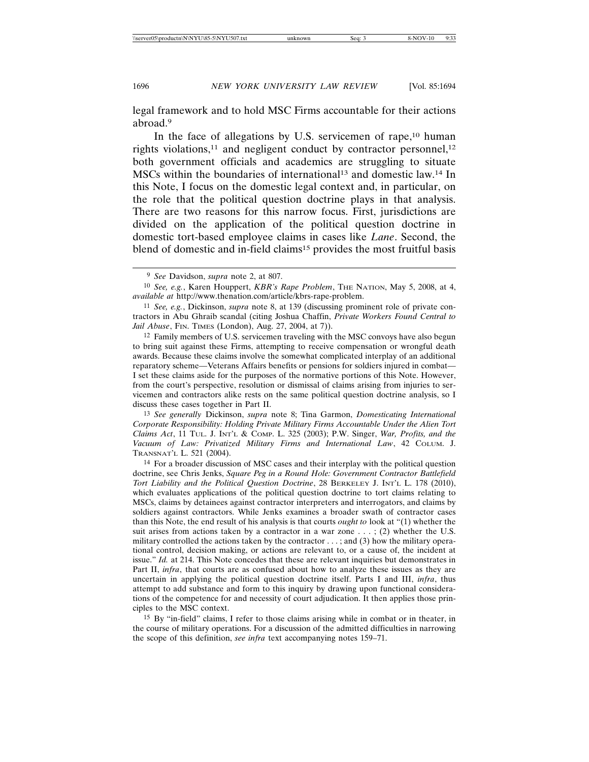legal framework and to hold MSC Firms accountable for their actions abroad.9

In the face of allegations by U.S. servicemen of rape,<sup>10</sup> human rights violations,<sup>11</sup> and negligent conduct by contractor personnel,<sup>12</sup> both government officials and academics are struggling to situate MSCs within the boundaries of international<sup>13</sup> and domestic law.<sup>14</sup> In this Note, I focus on the domestic legal context and, in particular, on the role that the political question doctrine plays in that analysis. There are two reasons for this narrow focus. First, jurisdictions are divided on the application of the political question doctrine in domestic tort-based employee claims in cases like *Lane*. Second, the blend of domestic and in-field claims<sup>15</sup> provides the most fruitful basis

12 Family members of U.S. servicemen traveling with the MSC convoys have also begun to bring suit against these Firms, attempting to receive compensation or wrongful death awards. Because these claims involve the somewhat complicated interplay of an additional reparatory scheme—Veterans Affairs benefits or pensions for soldiers injured in combat— I set these claims aside for the purposes of the normative portions of this Note. However, from the court's perspective, resolution or dismissal of claims arising from injuries to servicemen and contractors alike rests on the same political question doctrine analysis, so I discuss these cases together in Part II.

13 *See generally* Dickinson, *supra* note 8; Tina Garmon, *Domesticating International Corporate Responsibility: Holding Private Military Firms Accountable Under the Alien Tort Claims Act*, 11 TUL. J. INT'L & COMP. L. 325 (2003); P.W. Singer, *War, Profits, and the Vacuum of Law: Privatized Military Firms and International Law*, 42 COLUM. J. TRANSNAT'L L. 521 (2004).

14 For a broader discussion of MSC cases and their interplay with the political question doctrine, see Chris Jenks, *Square Peg in a Round Hole: Government Contractor Battlefield Tort Liability and the Political Question Doctrine*, 28 BERKELEY J. INT'L L. 178 (2010), which evaluates applications of the political question doctrine to tort claims relating to MSCs, claims by detainees against contractor interpreters and interrogators, and claims by soldiers against contractors. While Jenks examines a broader swath of contractor cases than this Note, the end result of his analysis is that courts *ought to* look at "(1) whether the suit arises from actions taken by a contractor in a war zone  $\dots$ ; (2) whether the U.S. military controlled the actions taken by the contractor  $\dots$ ; and (3) how the military operational control, decision making, or actions are relevant to, or a cause of, the incident at issue." *Id.* at 214. This Note concedes that these are relevant inquiries but demonstrates in Part II, *infra*, that courts are as confused about how to analyze these issues as they are uncertain in applying the political question doctrine itself. Parts I and III, *infra*, thus attempt to add substance and form to this inquiry by drawing upon functional considerations of the competence for and necessity of court adjudication. It then applies those principles to the MSC context.

15 By "in-field" claims, I refer to those claims arising while in combat or in theater, in the course of military operations. For a discussion of the admitted difficulties in narrowing the scope of this definition, *see infra* text accompanying notes 159–71.

<sup>9</sup> *See* Davidson, *supra* note 2, at 807.

<sup>10</sup> *See, e.g.*, Karen Houppert, *KBR's Rape Problem*, THE NATION, May 5, 2008, at 4, *available at* http://www.thenation.com/article/kbrs-rape-problem.

<sup>11</sup> *See, e.g.*, Dickinson, *supra* note 8, at 139 (discussing prominent role of private contractors in Abu Ghraib scandal (citing Joshua Chaffin, *Private Workers Found Central to Jail Abuse*, FIN. TIMES (London), Aug. 27, 2004, at 7)).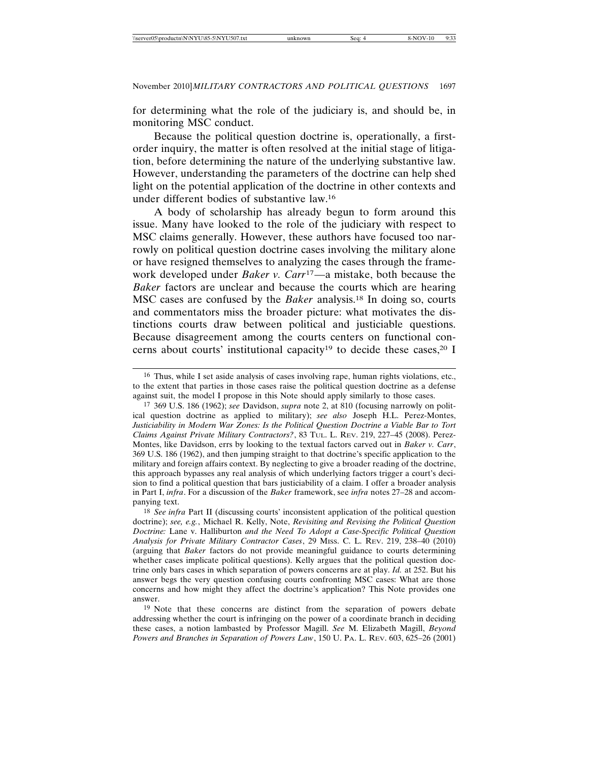for determining what the role of the judiciary is, and should be, in monitoring MSC conduct.

Because the political question doctrine is, operationally, a firstorder inquiry, the matter is often resolved at the initial stage of litigation, before determining the nature of the underlying substantive law. However, understanding the parameters of the doctrine can help shed light on the potential application of the doctrine in other contexts and under different bodies of substantive law.16

A body of scholarship has already begun to form around this issue. Many have looked to the role of the judiciary with respect to MSC claims generally. However, these authors have focused too narrowly on political question doctrine cases involving the military alone or have resigned themselves to analyzing the cases through the framework developed under *Baker v. Carr*17—a mistake, both because the *Baker* factors are unclear and because the courts which are hearing MSC cases are confused by the *Baker* analysis.18 In doing so, courts and commentators miss the broader picture: what motivates the distinctions courts draw between political and justiciable questions. Because disagreement among the courts centers on functional concerns about courts' institutional capacity<sup>19</sup> to decide these cases,<sup>20</sup> I

<sup>16</sup> Thus, while I set aside analysis of cases involving rape, human rights violations, etc., to the extent that parties in those cases raise the political question doctrine as a defense against suit, the model I propose in this Note should apply similarly to those cases.

<sup>17</sup> 369 U.S. 186 (1962); *see* Davidson, *supra* note 2, at 810 (focusing narrowly on political question doctrine as applied to military); *see also* Joseph H.L. Perez-Montes, *Justiciability in Modern War Zones: Is the Political Question Doctrine a Viable Bar to Tort Claims Against Private Military Contractors?*, 83 TUL. L. REV. 219, 227–45 (2008). Perez-Montes, like Davidson, errs by looking to the textual factors carved out in *Baker v. Carr*, 369 U.S. 186 (1962), and then jumping straight to that doctrine's specific application to the military and foreign affairs context. By neglecting to give a broader reading of the doctrine, this approach bypasses any real analysis of which underlying factors trigger a court's decision to find a political question that bars justiciability of a claim. I offer a broader analysis in Part I, *infra*. For a discussion of the *Baker* framework, see *infra* notes 27–28 and accompanying text.

<sup>18</sup> *See infra* Part II (discussing courts' inconsistent application of the political question doctrine); *see, e.g.*, Michael R. Kelly, Note, *Revisiting and Revising the Political Question Doctrine:* Lane v. Halliburton *and the Need To Adopt a Case-Specific Political Question Analysis for Private Military Contractor Cases*, 29 MISS. C. L. REV. 219, 238–40 (2010) (arguing that *Baker* factors do not provide meaningful guidance to courts determining whether cases implicate political questions). Kelly argues that the political question doctrine only bars cases in which separation of powers concerns are at play. *Id.* at 252. But his answer begs the very question confusing courts confronting MSC cases: What are those concerns and how might they affect the doctrine's application? This Note provides one answer.

<sup>19</sup> Note that these concerns are distinct from the separation of powers debate addressing whether the court is infringing on the power of a coordinate branch in deciding these cases, a notion lambasted by Professor Magill. *See* M. Elizabeth Magill, *Beyond Powers and Branches in Separation of Powers Law*, 150 U. PA. L. REV. 603, 625–26 (2001)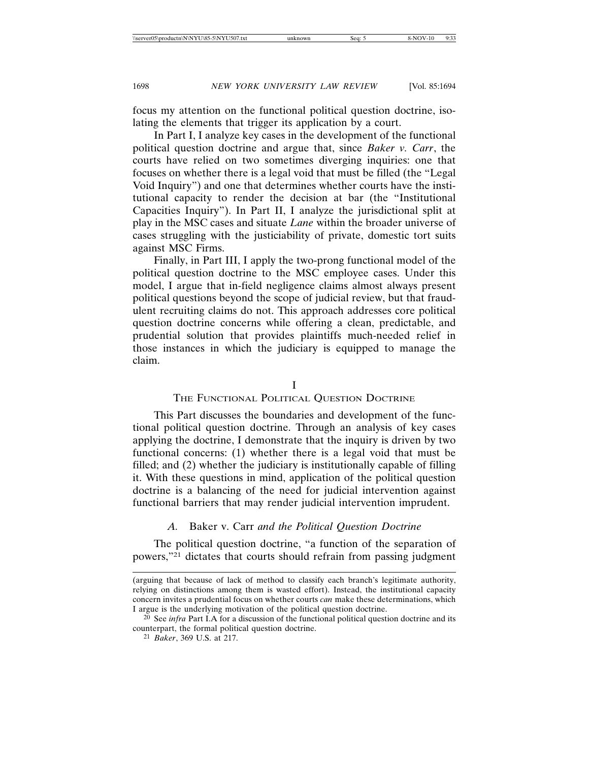focus my attention on the functional political question doctrine, isolating the elements that trigger its application by a court.

In Part I, I analyze key cases in the development of the functional political question doctrine and argue that, since *Baker v. Carr*, the courts have relied on two sometimes diverging inquiries: one that focuses on whether there is a legal void that must be filled (the "Legal Void Inquiry") and one that determines whether courts have the institutional capacity to render the decision at bar (the "Institutional Capacities Inquiry"). In Part II, I analyze the jurisdictional split at play in the MSC cases and situate *Lane* within the broader universe of cases struggling with the justiciability of private, domestic tort suits against MSC Firms.

Finally, in Part III, I apply the two-prong functional model of the political question doctrine to the MSC employee cases. Under this model, I argue that in-field negligence claims almost always present political questions beyond the scope of judicial review, but that fraudulent recruiting claims do not. This approach addresses core political question doctrine concerns while offering a clean, predictable, and prudential solution that provides plaintiffs much-needed relief in those instances in which the judiciary is equipped to manage the claim.

I

#### THE FUNCTIONAL POLITICAL QUESTION DOCTRINE

This Part discusses the boundaries and development of the functional political question doctrine. Through an analysis of key cases applying the doctrine, I demonstrate that the inquiry is driven by two functional concerns: (1) whether there is a legal void that must be filled; and (2) whether the judiciary is institutionally capable of filling it. With these questions in mind, application of the political question doctrine is a balancing of the need for judicial intervention against functional barriers that may render judicial intervention imprudent.

# *A.* Baker v. Carr *and the Political Question Doctrine*

The political question doctrine, "a function of the separation of powers,"21 dictates that courts should refrain from passing judgment

<sup>(</sup>arguing that because of lack of method to classify each branch's legitimate authority, relying on distinctions among them is wasted effort). Instead, the institutional capacity concern invites a prudential focus on whether courts *can* make these determinations, which I argue is the underlying motivation of the political question doctrine.

<sup>20</sup> See *infra* Part I.A for a discussion of the functional political question doctrine and its counterpart, the formal political question doctrine.

<sup>21</sup> *Baker*, 369 U.S. at 217.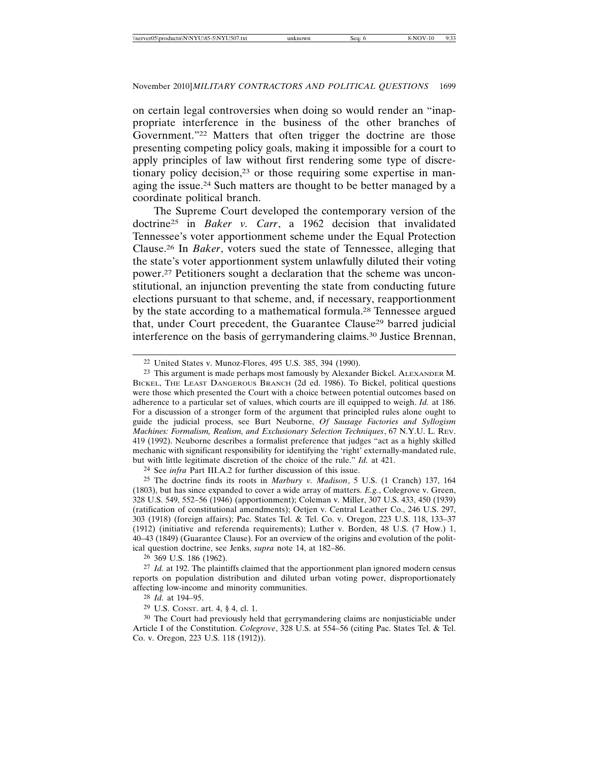on certain legal controversies when doing so would render an "inappropriate interference in the business of the other branches of Government."22 Matters that often trigger the doctrine are those presenting competing policy goals, making it impossible for a court to apply principles of law without first rendering some type of discretionary policy decision,<sup>23</sup> or those requiring some expertise in managing the issue.24 Such matters are thought to be better managed by a coordinate political branch.

The Supreme Court developed the contemporary version of the doctrine25 in *Baker v. Carr*, a 1962 decision that invalidated Tennessee's voter apportionment scheme under the Equal Protection Clause.26 In *Baker*, voters sued the state of Tennessee, alleging that the state's voter apportionment system unlawfully diluted their voting power.27 Petitioners sought a declaration that the scheme was unconstitutional, an injunction preventing the state from conducting future elections pursuant to that scheme, and, if necessary, reapportionment by the state according to a mathematical formula.28 Tennessee argued that, under Court precedent, the Guarantee Clause<sup>29</sup> barred judicial interference on the basis of gerrymandering claims.30 Justice Brennan,

24 See *infra* Part III.A.2 for further discussion of this issue.

25 The doctrine finds its roots in *Marbury v. Madison*, 5 U.S. (1 Cranch) 137, 164 (1803), but has since expanded to cover a wide array of matters. *E.g.*, Colegrove v. Green, 328 U.S. 549, 552–56 (1946) (apportionment); Coleman v. Miller, 307 U.S. 433, 450 (1939) (ratification of constitutional amendments); Oetjen v. Central Leather Co., 246 U.S. 297, 303 (1918) (foreign affairs); Pac. States Tel. & Tel. Co. v. Oregon, 223 U.S. 118, 133–37 (1912) (initiative and referenda requirements); Luther v. Borden, 48 U.S. (7 How.) 1, 40–43 (1849) (Guarantee Clause). For an overview of the origins and evolution of the political question doctrine, see Jenks, *supra* note 14, at 182–86.

26 369 U.S. 186 (1962).

27 *Id.* at 192. The plaintiffs claimed that the apportionment plan ignored modern census reports on population distribution and diluted urban voting power, disproportionately affecting low-income and minority communities.

28 *Id.* at 194–95.

29 U.S. CONST. art. 4, § 4, cl. 1.

30 The Court had previously held that gerrymandering claims are nonjusticiable under Article I of the Constitution. *Colegrove*, 328 U.S. at 554–56 (citing Pac. States Tel. & Tel. Co. v. Oregon, 223 U.S. 118 (1912)).

<sup>22</sup> United States v. Munoz-Flores, 495 U.S. 385, 394 (1990).

<sup>&</sup>lt;sup>23</sup> This argument is made perhaps most famously by Alexander Bickel. ALEXANDER M. BICKEL, THE LEAST DANGEROUS BRANCH (2d ed. 1986). To Bickel, political questions were those which presented the Court with a choice between potential outcomes based on adherence to a particular set of values, which courts are ill equipped to weigh. *Id.* at 186. For a discussion of a stronger form of the argument that principled rules alone ought to guide the judicial process, see Burt Neuborne, *Of Sausage Factories and Syllogism Machines: Formalism, Realism, and Exclusionary Selection Techniques*, 67 N.Y.U. L. REV. 419 (1992). Neuborne describes a formalist preference that judges "act as a highly skilled mechanic with significant responsibility for identifying the 'right' externally-mandated rule, but with little legitimate discretion of the choice of the rule." *Id.* at 421.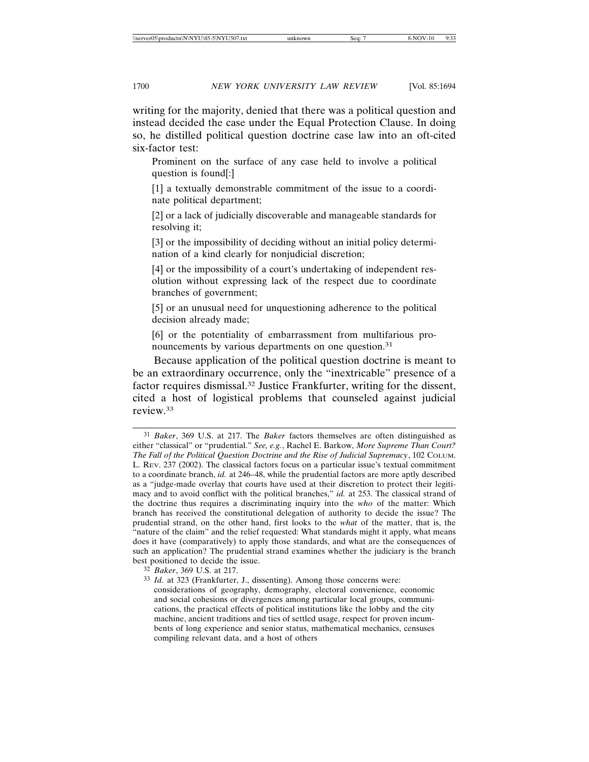writing for the majority, denied that there was a political question and instead decided the case under the Equal Protection Clause. In doing so, he distilled political question doctrine case law into an oft-cited six-factor test:

Prominent on the surface of any case held to involve a political question is found[:]

[1] a textually demonstrable commitment of the issue to a coordinate political department;

[2] or a lack of judicially discoverable and manageable standards for resolving it;

[3] or the impossibility of deciding without an initial policy determination of a kind clearly for nonjudicial discretion;

[4] or the impossibility of a court's undertaking of independent resolution without expressing lack of the respect due to coordinate branches of government;

[5] or an unusual need for unquestioning adherence to the political decision already made;

[6] or the potentiality of embarrassment from multifarious pronouncements by various departments on one question.<sup>31</sup>

Because application of the political question doctrine is meant to be an extraordinary occurrence, only the "inextricable" presence of a factor requires dismissal.32 Justice Frankfurter, writing for the dissent, cited a host of logistical problems that counseled against judicial review.33

32 *Baker*, 369 U.S. at 217.

33 *Id.* at 323 (Frankfurter, J., dissenting). Among those concerns were:

considerations of geography, demography, electoral convenience, economic and social cohesions or divergences among particular local groups, communications, the practical effects of political institutions like the lobby and the city machine, ancient traditions and ties of settled usage, respect for proven incumbents of long experience and senior status, mathematical mechanics, censuses compiling relevant data, and a host of others

<sup>31</sup> *Baker*, 369 U.S. at 217. The *Baker* factors themselves are often distinguished as either "classical" or "prudential." *See, e.g.*, Rachel E. Barkow, *More Supreme Than Court? The Fall of the Political Question Doctrine and the Rise of Judicial Supremacy*, 102 COLUM. L. REV. 237 (2002). The classical factors focus on a particular issue's textual commitment to a coordinate branch, *id.* at 246–48, while the prudential factors are more aptly described as a "judge-made overlay that courts have used at their discretion to protect their legitimacy and to avoid conflict with the political branches," *id.* at 253. The classical strand of the doctrine thus requires a discriminating inquiry into the *who* of the matter: Which branch has received the constitutional delegation of authority to decide the issue? The prudential strand, on the other hand, first looks to the *what* of the matter, that is, the "nature of the claim" and the relief requested: What standards might it apply, what means does it have (comparatively) to apply those standards, and what are the consequences of such an application? The prudential strand examines whether the judiciary is the branch best positioned to decide the issue.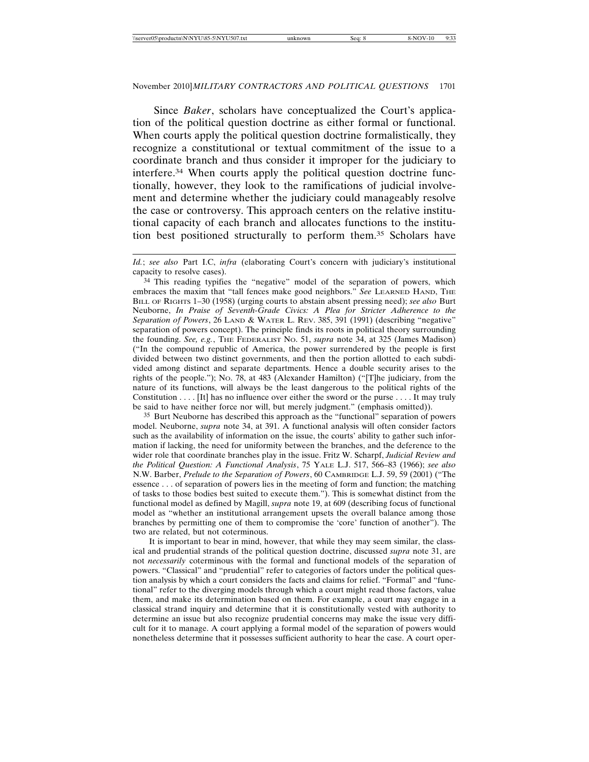Since *Baker*, scholars have conceptualized the Court's application of the political question doctrine as either formal or functional. When courts apply the political question doctrine formalistically, they recognize a constitutional or textual commitment of the issue to a coordinate branch and thus consider it improper for the judiciary to interfere.34 When courts apply the political question doctrine functionally, however, they look to the ramifications of judicial involvement and determine whether the judiciary could manageably resolve the case or controversy. This approach centers on the relative institutional capacity of each branch and allocates functions to the institution best positioned structurally to perform them.35 Scholars have

34 This reading typifies the "negative" model of the separation of powers, which embraces the maxim that "tall fences make good neighbors." *See* LEARNED HAND, THE BILL OF RIGHTS 1–30 (1958) (urging courts to abstain absent pressing need); *see also* Burt Neuborne, *In Praise of Seventh-Grade Civics: A Plea for Stricter Adherence to the Separation of Powers*, 26 LAND & WATER L. REV. 385, 391 (1991) (describing "negative" separation of powers concept). The principle finds its roots in political theory surrounding the founding. *See, e.g.*, THE FEDERALIST NO. 51, *supra* note 34, at 325 (James Madison) ("In the compound republic of America, the power surrendered by the people is first divided between two distinct governments, and then the portion allotted to each subdivided among distinct and separate departments. Hence a double security arises to the rights of the people."); NO. 78, at 483 (Alexander Hamilton) ("[T]he judiciary, from the nature of its functions, will always be the least dangerous to the political rights of the Constitution . . . . [It] has no influence over either the sword or the purse . . . . It may truly be said to have neither force nor will, but merely judgment." (emphasis omitted)).

35 Burt Neuborne has described this approach as the "functional" separation of powers model. Neuborne, *supra* note 34, at 391. A functional analysis will often consider factors such as the availability of information on the issue, the courts' ability to gather such information if lacking, the need for uniformity between the branches, and the deference to the wider role that coordinate branches play in the issue. Fritz W. Scharpf, *Judicial Review and the Political Question: A Functional Analysis*, 75 YALE L.J. 517, 566–83 (1966); *see also* N.W. Barber, *Prelude to the Separation of Powers*, 60 CAMBRIDGE L.J. 59, 59 (2001) ("The essence . . . of separation of powers lies in the meeting of form and function; the matching of tasks to those bodies best suited to execute them."). This is somewhat distinct from the functional model as defined by Magill, *supra* note 19, at 609 (describing focus of functional model as "whether an institutional arrangement upsets the overall balance among those branches by permitting one of them to compromise the 'core' function of another"). The two are related, but not coterminous.

It is important to bear in mind, however, that while they may seem similar, the classical and prudential strands of the political question doctrine, discussed *supra* note 31, are not *necessarily* coterminous with the formal and functional models of the separation of powers. "Classical" and "prudential" refer to categories of factors under the political question analysis by which a court considers the facts and claims for relief. "Formal" and "functional" refer to the diverging models through which a court might read those factors, value them, and make its determination based on them. For example, a court may engage in a classical strand inquiry and determine that it is constitutionally vested with authority to determine an issue but also recognize prudential concerns may make the issue very difficult for it to manage. A court applying a formal model of the separation of powers would nonetheless determine that it possesses sufficient authority to hear the case. A court oper-

*Id.*; *see also* Part I.C, *infra* (elaborating Court's concern with judiciary's institutional capacity to resolve cases).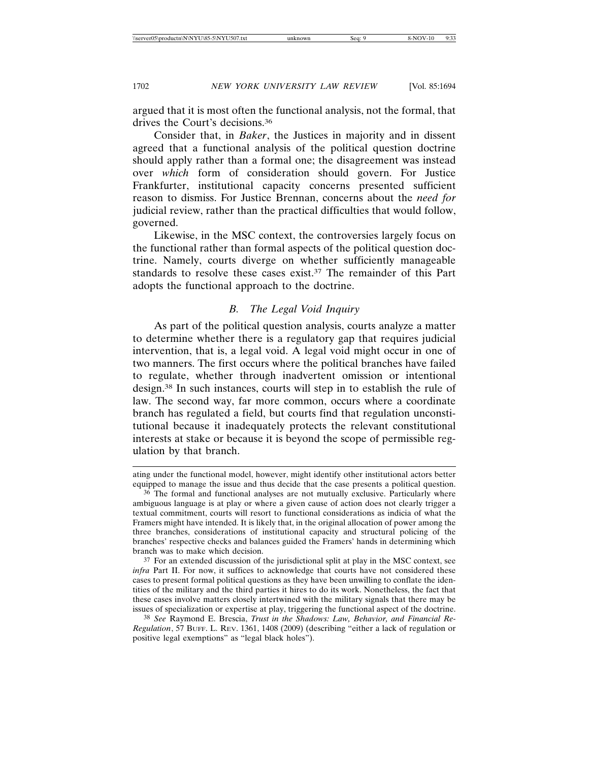argued that it is most often the functional analysis, not the formal, that drives the Court's decisions.36

Consider that, in *Baker*, the Justices in majority and in dissent agreed that a functional analysis of the political question doctrine should apply rather than a formal one; the disagreement was instead over *which* form of consideration should govern. For Justice Frankfurter, institutional capacity concerns presented sufficient reason to dismiss. For Justice Brennan, concerns about the *need for* judicial review, rather than the practical difficulties that would follow, governed.

Likewise, in the MSC context, the controversies largely focus on the functional rather than formal aspects of the political question doctrine. Namely, courts diverge on whether sufficiently manageable standards to resolve these cases exist.<sup>37</sup> The remainder of this Part adopts the functional approach to the doctrine.

### *B. The Legal Void Inquiry*

As part of the political question analysis, courts analyze a matter to determine whether there is a regulatory gap that requires judicial intervention, that is, a legal void. A legal void might occur in one of two manners. The first occurs where the political branches have failed to regulate, whether through inadvertent omission or intentional design.38 In such instances, courts will step in to establish the rule of law. The second way, far more common, occurs where a coordinate branch has regulated a field, but courts find that regulation unconstitutional because it inadequately protects the relevant constitutional interests at stake or because it is beyond the scope of permissible regulation by that branch.

ating under the functional model, however, might identify other institutional actors better equipped to manage the issue and thus decide that the case presents a political question.

<sup>36</sup> The formal and functional analyses are not mutually exclusive. Particularly where ambiguous language is at play or where a given cause of action does not clearly trigger a textual commitment, courts will resort to functional considerations as indicia of what the Framers might have intended. It is likely that, in the original allocation of power among the three branches, considerations of institutional capacity and structural policing of the branches' respective checks and balances guided the Framers' hands in determining which branch was to make which decision.

<sup>&</sup>lt;sup>37</sup> For an extended discussion of the jurisdictional split at play in the MSC context, see *infra* Part II. For now, it suffices to acknowledge that courts have not considered these cases to present formal political questions as they have been unwilling to conflate the identities of the military and the third parties it hires to do its work. Nonetheless, the fact that these cases involve matters closely intertwined with the military signals that there may be issues of specialization or expertise at play, triggering the functional aspect of the doctrine.

<sup>38</sup> *See* Raymond E. Brescia, *Trust in the Shadows: Law, Behavior, and Financial Re-Regulation*, 57 BUFF. L. REV. 1361, 1408 (2009) (describing "either a lack of regulation or positive legal exemptions" as "legal black holes").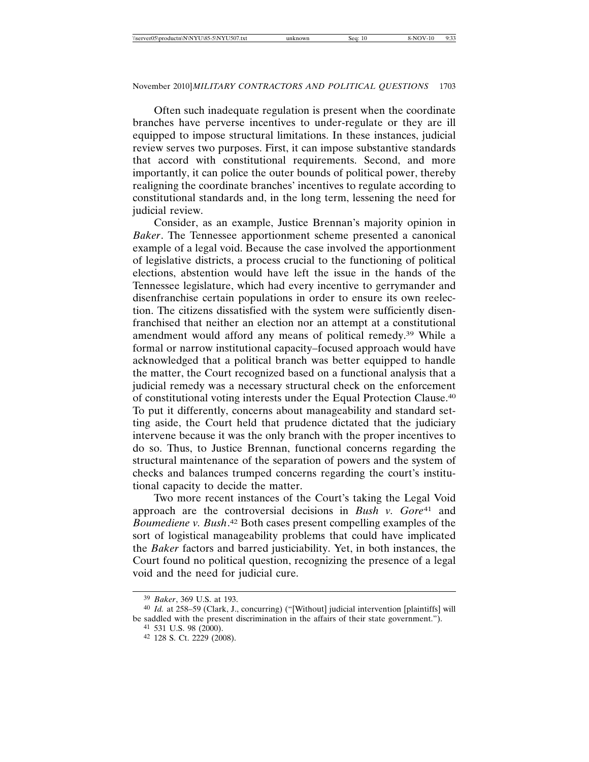Often such inadequate regulation is present when the coordinate branches have perverse incentives to under-regulate or they are ill equipped to impose structural limitations. In these instances, judicial review serves two purposes. First, it can impose substantive standards that accord with constitutional requirements. Second, and more importantly, it can police the outer bounds of political power, thereby realigning the coordinate branches' incentives to regulate according to constitutional standards and, in the long term, lessening the need for judicial review.

Consider, as an example, Justice Brennan's majority opinion in *Baker*. The Tennessee apportionment scheme presented a canonical example of a legal void. Because the case involved the apportionment of legislative districts, a process crucial to the functioning of political elections, abstention would have left the issue in the hands of the Tennessee legislature, which had every incentive to gerrymander and disenfranchise certain populations in order to ensure its own reelection. The citizens dissatisfied with the system were sufficiently disenfranchised that neither an election nor an attempt at a constitutional amendment would afford any means of political remedy.39 While a formal or narrow institutional capacity–focused approach would have acknowledged that a political branch was better equipped to handle the matter, the Court recognized based on a functional analysis that a judicial remedy was a necessary structural check on the enforcement of constitutional voting interests under the Equal Protection Clause.40 To put it differently, concerns about manageability and standard setting aside, the Court held that prudence dictated that the judiciary intervene because it was the only branch with the proper incentives to do so. Thus, to Justice Brennan, functional concerns regarding the structural maintenance of the separation of powers and the system of checks and balances trumped concerns regarding the court's institutional capacity to decide the matter.

Two more recent instances of the Court's taking the Legal Void approach are the controversial decisions in *Bush v. Gore*<sup>41</sup> and *Boumediene v. Bush*. 42 Both cases present compelling examples of the sort of logistical manageability problems that could have implicated the *Baker* factors and barred justiciability. Yet, in both instances, the Court found no political question, recognizing the presence of a legal void and the need for judicial cure.

<sup>39</sup> *Baker*, 369 U.S. at 193.

<sup>40</sup> *Id.* at 258–59 (Clark, J., concurring) ("[Without] judicial intervention [plaintiffs] will be saddled with the present discrimination in the affairs of their state government.").

<sup>41</sup> 531 U.S. 98 (2000).

<sup>42</sup> 128 S. Ct. 2229 (2008).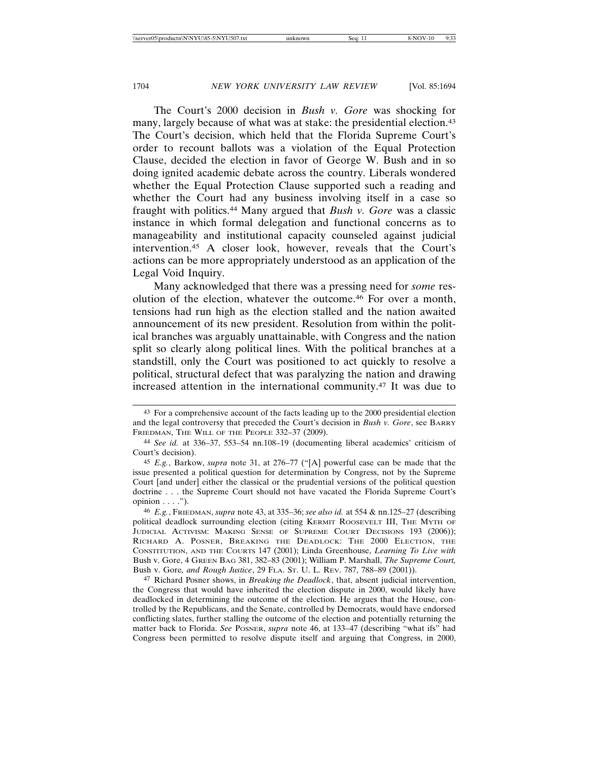The Court's 2000 decision in *Bush v. Gore* was shocking for many, largely because of what was at stake: the presidential election.<sup>43</sup> The Court's decision, which held that the Florida Supreme Court's order to recount ballots was a violation of the Equal Protection Clause, decided the election in favor of George W. Bush and in so doing ignited academic debate across the country. Liberals wondered whether the Equal Protection Clause supported such a reading and whether the Court had any business involving itself in a case so fraught with politics.44 Many argued that *Bush v. Gore* was a classic instance in which formal delegation and functional concerns as to manageability and institutional capacity counseled against judicial intervention.45 A closer look, however, reveals that the Court's actions can be more appropriately understood as an application of the Legal Void Inquiry.

Many acknowledged that there was a pressing need for *some* resolution of the election, whatever the outcome.46 For over a month, tensions had run high as the election stalled and the nation awaited announcement of its new president. Resolution from within the political branches was arguably unattainable, with Congress and the nation split so clearly along political lines. With the political branches at a standstill, only the Court was positioned to act quickly to resolve a political, structural defect that was paralyzing the nation and drawing increased attention in the international community.47 It was due to

<sup>43</sup> For a comprehensive account of the facts leading up to the 2000 presidential election and the legal controversy that preceded the Court's decision in *Bush v. Gore*, see BARRY FRIEDMAN, THE WILL OF THE PEOPLE 332–37 (2009).

<sup>44</sup> *See id.* at 336–37, 553–54 nn.108–19 (documenting liberal academics' criticism of Court's decision).

<sup>45</sup> *E.g.*, Barkow, *supra* note 31, at 276–77 ("[A] powerful case can be made that the issue presented a political question for determination by Congress, not by the Supreme Court [and under] either the classical or the prudential versions of the political question doctrine . . . the Supreme Court should not have vacated the Florida Supreme Court's  $opinion \ldots$ ").

<sup>46</sup> *E.g.*, FRIEDMAN, *supra* note 43, at 335–36; *see also id.* at 554 & nn.125–27 (describing political deadlock surrounding election (citing KERMIT ROOSEVELT III, THE MYTH OF JUDICIAL ACTIVISM: MAKING SENSE OF SUPREME COURT DECISIONS 193 (2006)); RICHARD A. POSNER, BREAKING THE DEADLOCK: THE 2000 ELECTION, THE CONSTITUTION, AND THE COURTS 147 (2001); Linda Greenhouse, *Learning To Live with* Bush v. Gore, 4 GREEN BAG 381, 382–83 (2001); William P. Marshall, *The Supreme Court,* Bush v. Gore*, and Rough Justice*, 29 FLA. ST. U. L. REV. 787, 788–89 (2001)).

<sup>47</sup> Richard Posner shows, in *Breaking the Deadlock*, that, absent judicial intervention, the Congress that would have inherited the election dispute in 2000, would likely have deadlocked in determining the outcome of the election. He argues that the House, controlled by the Republicans, and the Senate, controlled by Democrats, would have endorsed conflicting slates, further stalling the outcome of the election and potentially returning the matter back to Florida. *See* POSNER, *supra* note 46, at 133–47 (describing "what ifs" had Congress been permitted to resolve dispute itself and arguing that Congress, in 2000,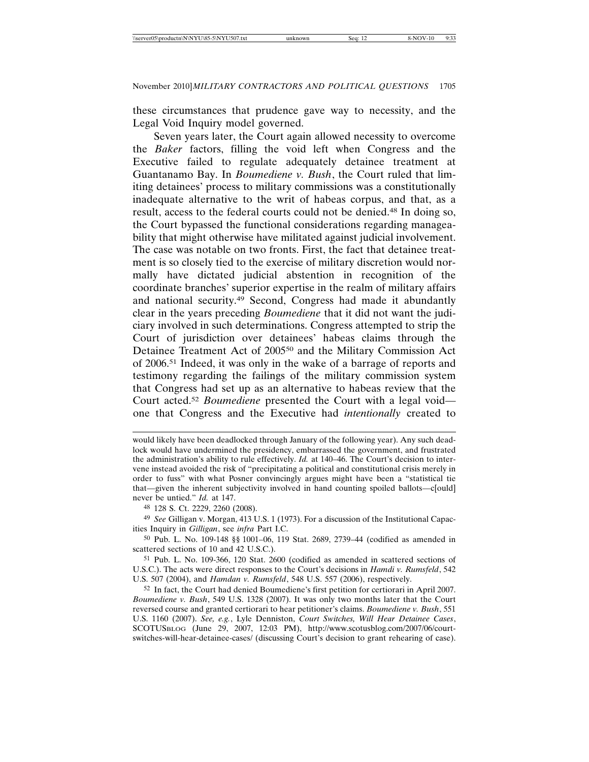these circumstances that prudence gave way to necessity, and the Legal Void Inquiry model governed.

Seven years later, the Court again allowed necessity to overcome the *Baker* factors, filling the void left when Congress and the Executive failed to regulate adequately detainee treatment at Guantanamo Bay. In *Boumediene v. Bush*, the Court ruled that limiting detainees' process to military commissions was a constitutionally inadequate alternative to the writ of habeas corpus, and that, as a result, access to the federal courts could not be denied.48 In doing so, the Court bypassed the functional considerations regarding manageability that might otherwise have militated against judicial involvement. The case was notable on two fronts. First, the fact that detainee treatment is so closely tied to the exercise of military discretion would normally have dictated judicial abstention in recognition of the coordinate branches' superior expertise in the realm of military affairs and national security.49 Second, Congress had made it abundantly clear in the years preceding *Boumediene* that it did not want the judiciary involved in such determinations. Congress attempted to strip the Court of jurisdiction over detainees' habeas claims through the Detainee Treatment Act of 200550 and the Military Commission Act of 2006.51 Indeed, it was only in the wake of a barrage of reports and testimony regarding the failings of the military commission system that Congress had set up as an alternative to habeas review that the Court acted.52 *Boumediene* presented the Court with a legal void one that Congress and the Executive had *intentionally* created to

51 Pub. L. No. 109-366, 120 Stat. 2600 (codified as amended in scattered sections of U.S.C.). The acts were direct responses to the Court's decisions in *Hamdi v. Rumsfeld*, 542 U.S. 507 (2004), and *Hamdan v. Rumsfeld*, 548 U.S. 557 (2006), respectively.

52 In fact, the Court had denied Boumediene's first petition for certiorari in April 2007. *Boumediene v. Bush*, 549 U.S. 1328 (2007). It was only two months later that the Court reversed course and granted certiorari to hear petitioner's claims. *Boumediene v. Bush*, 551 U.S. 1160 (2007). *See, e.g.*, Lyle Denniston, *Court Switches, Will Hear Detainee Cases*, SCOTUSBLOG (June 29, 2007, 12:03 PM), http://www.scotusblog.com/2007/06/courtswitches-will-hear-detainee-cases/ (discussing Court's decision to grant rehearing of case).

would likely have been deadlocked through January of the following year). Any such deadlock would have undermined the presidency, embarrassed the government, and frustrated the administration's ability to rule effectively. *Id.* at 140–46. The Court's decision to intervene instead avoided the risk of "precipitating a political and constitutional crisis merely in order to fuss" with what Posner convincingly argues might have been a "statistical tie that—given the inherent subjectivity involved in hand counting spoiled ballots—c[ould] never be untied." *Id.* at 147.

<sup>48</sup> 128 S. Ct. 2229, 2260 (2008).

<sup>49</sup> *See* Gilligan v. Morgan, 413 U.S. 1 (1973). For a discussion of the Institutional Capacities Inquiry in *Gilligan*, see *infra* Part I.C.

<sup>50</sup> Pub. L. No. 109-148 §§ 1001–06, 119 Stat. 2689, 2739–44 (codified as amended in scattered sections of 10 and 42 U.S.C.).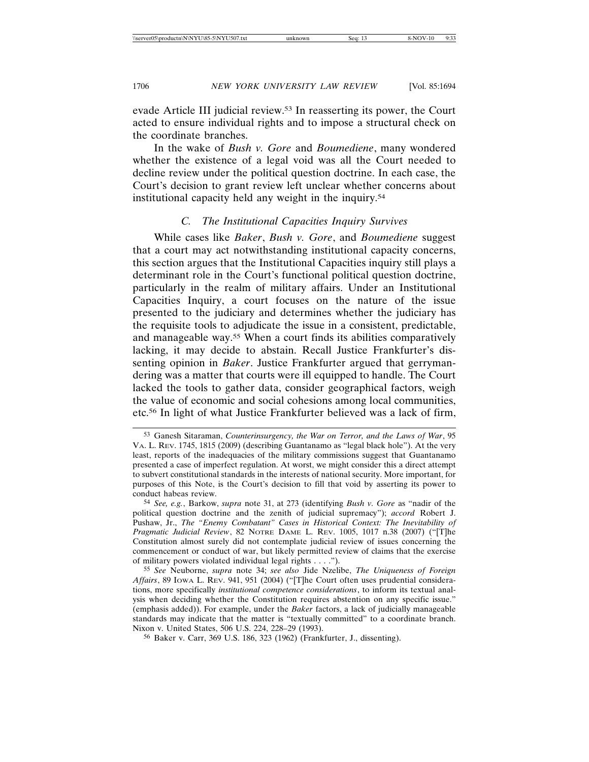evade Article III judicial review.53 In reasserting its power, the Court acted to ensure individual rights and to impose a structural check on the coordinate branches.

In the wake of *Bush v. Gore* and *Boumediene*, many wondered whether the existence of a legal void was all the Court needed to decline review under the political question doctrine. In each case, the Court's decision to grant review left unclear whether concerns about institutional capacity held any weight in the inquiry.54

### *C. The Institutional Capacities Inquiry Survives*

While cases like *Baker*, *Bush v. Gore*, and *Boumediene* suggest that a court may act notwithstanding institutional capacity concerns, this section argues that the Institutional Capacities inquiry still plays a determinant role in the Court's functional political question doctrine, particularly in the realm of military affairs. Under an Institutional Capacities Inquiry, a court focuses on the nature of the issue presented to the judiciary and determines whether the judiciary has the requisite tools to adjudicate the issue in a consistent, predictable, and manageable way.55 When a court finds its abilities comparatively lacking, it may decide to abstain. Recall Justice Frankfurter's dissenting opinion in *Baker*. Justice Frankfurter argued that gerrymandering was a matter that courts were ill equipped to handle. The Court lacked the tools to gather data, consider geographical factors, weigh the value of economic and social cohesions among local communities, etc.56 In light of what Justice Frankfurter believed was a lack of firm,

56 Baker v. Carr, 369 U.S. 186, 323 (1962) (Frankfurter, J., dissenting).

<sup>53</sup> Ganesh Sitaraman, *Counterinsurgency, the War on Terror, and the Laws of War*, 95 VA. L. REV. 1745, 1815 (2009) (describing Guantanamo as "legal black hole"). At the very least, reports of the inadequacies of the military commissions suggest that Guantanamo presented a case of imperfect regulation. At worst, we might consider this a direct attempt to subvert constitutional standards in the interests of national security. More important, for purposes of this Note, is the Court's decision to fill that void by asserting its power to conduct habeas review.

<sup>54</sup> *See, e.g.*, Barkow, *supra* note 31, at 273 (identifying *Bush v. Gore* as "nadir of the political question doctrine and the zenith of judicial supremacy"); *accord* Robert J. Pushaw, Jr., *The "Enemy Combatant" Cases in Historical Context: The Inevitability of Pragmatic Judicial Review*, 82 NOTRE DAME L. REV. 1005, 1017 n.38 (2007) ("[T]he Constitution almost surely did not contemplate judicial review of issues concerning the commencement or conduct of war, but likely permitted review of claims that the exercise of military powers violated individual legal rights . . . .").

<sup>55</sup> *See* Neuborne, *supra* note 34; *see also* Jide Nzelibe, *The Uniqueness of Foreign Affairs*, 89 IOWA L. REV. 941, 951 (2004) ("[T]he Court often uses prudential considerations, more specifically *institutional competence considerations*, to inform its textual analysis when deciding whether the Constitution requires abstention on any specific issue." (emphasis added)). For example, under the *Baker* factors, a lack of judicially manageable standards may indicate that the matter is "textually committed" to a coordinate branch. Nixon v. United States, 506 U.S. 224, 228–29 (1993).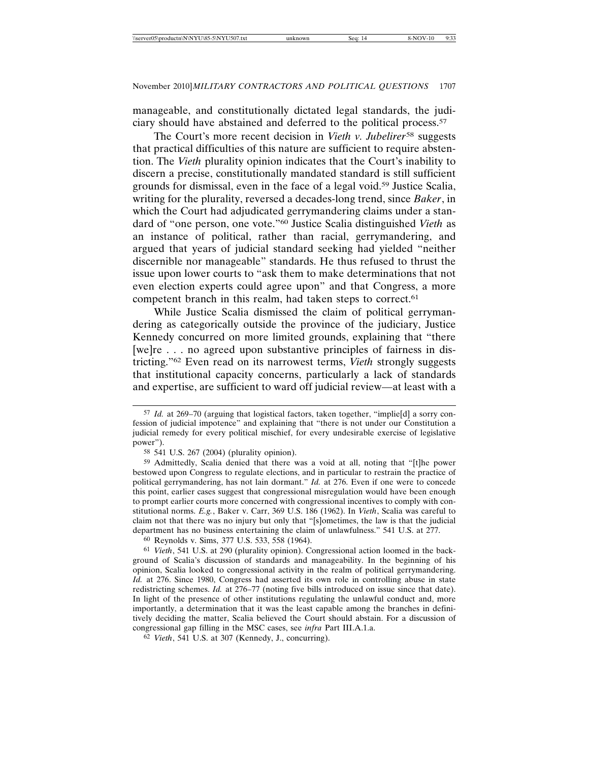manageable, and constitutionally dictated legal standards, the judiciary should have abstained and deferred to the political process.57

The Court's more recent decision in *Vieth v. Jubelirer*58 suggests that practical difficulties of this nature are sufficient to require abstention. The *Vieth* plurality opinion indicates that the Court's inability to discern a precise, constitutionally mandated standard is still sufficient grounds for dismissal, even in the face of a legal void.59 Justice Scalia, writing for the plurality, reversed a decades-long trend, since *Baker*, in which the Court had adjudicated gerrymandering claims under a standard of "one person, one vote."60 Justice Scalia distinguished *Vieth* as an instance of political, rather than racial, gerrymandering, and argued that years of judicial standard seeking had yielded "neither discernible nor manageable" standards. He thus refused to thrust the issue upon lower courts to "ask them to make determinations that not even election experts could agree upon" and that Congress, a more competent branch in this realm, had taken steps to correct.<sup>61</sup>

While Justice Scalia dismissed the claim of political gerrymandering as categorically outside the province of the judiciary, Justice Kennedy concurred on more limited grounds, explaining that "there [we]re . . . no agreed upon substantive principles of fairness in districting."62 Even read on its narrowest terms, *Vieth* strongly suggests that institutional capacity concerns, particularly a lack of standards and expertise, are sufficient to ward off judicial review—at least with a

60 Reynolds v. Sims, 377 U.S. 533, 558 (1964).

<sup>57</sup> *Id.* at 269–70 (arguing that logistical factors, taken together, "implie[d] a sorry confession of judicial impotence" and explaining that "there is not under our Constitution a judicial remedy for every political mischief, for every undesirable exercise of legislative power").

<sup>58</sup> 541 U.S. 267 (2004) (plurality opinion).

<sup>59</sup> Admittedly, Scalia denied that there was a void at all, noting that "[t]he power bestowed upon Congress to regulate elections, and in particular to restrain the practice of political gerrymandering, has not lain dormant." *Id.* at 276. Even if one were to concede this point, earlier cases suggest that congressional misregulation would have been enough to prompt earlier courts more concerned with congressional incentives to comply with constitutional norms. *E.g.*, Baker v. Carr, 369 U.S. 186 (1962). In *Vieth*, Scalia was careful to claim not that there was no injury but only that "[s]ometimes, the law is that the judicial department has no business entertaining the claim of unlawfulness." 541 U.S. at 277.

<sup>61</sup> *Vieth*, 541 U.S. at 290 (plurality opinion). Congressional action loomed in the background of Scalia's discussion of standards and manageability. In the beginning of his opinion, Scalia looked to congressional activity in the realm of political gerrymandering. *Id.* at 276. Since 1980, Congress had asserted its own role in controlling abuse in state redistricting schemes. *Id.* at 276–77 (noting five bills introduced on issue since that date). In light of the presence of other institutions regulating the unlawful conduct and, more importantly, a determination that it was the least capable among the branches in definitively deciding the matter, Scalia believed the Court should abstain. For a discussion of congressional gap filling in the MSC cases, see *infra* Part III.A.1.a.

<sup>62</sup> *Vieth*, 541 U.S. at 307 (Kennedy, J., concurring).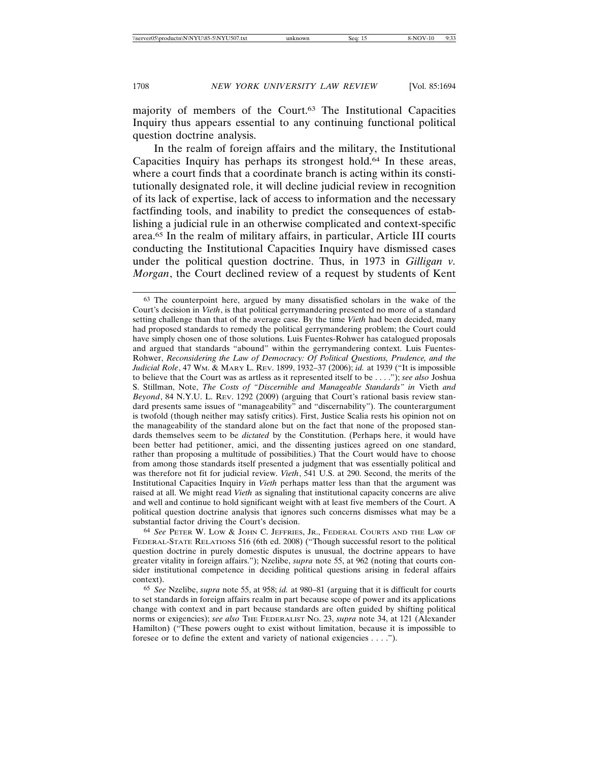majority of members of the Court.63 The Institutional Capacities Inquiry thus appears essential to any continuing functional political question doctrine analysis.

In the realm of foreign affairs and the military, the Institutional Capacities Inquiry has perhaps its strongest hold.64 In these areas, where a court finds that a coordinate branch is acting within its constitutionally designated role, it will decline judicial review in recognition of its lack of expertise, lack of access to information and the necessary factfinding tools, and inability to predict the consequences of establishing a judicial rule in an otherwise complicated and context-specific area.65 In the realm of military affairs, in particular, Article III courts conducting the Institutional Capacities Inquiry have dismissed cases under the political question doctrine. Thus, in 1973 in *Gilligan v. Morgan*, the Court declined review of a request by students of Kent

64 *See* PETER W. LOW & JOHN C. JEFFRIES, JR., FEDERAL COURTS AND THE LAW OF FEDERAL-STATE RELATIONS 516 (6th ed. 2008) ("Though successful resort to the political question doctrine in purely domestic disputes is unusual, the doctrine appears to have greater vitality in foreign affairs."); Nzelibe, *supra* note 55, at 962 (noting that courts consider institutional competence in deciding political questions arising in federal affairs context).

65 *See* Nzelibe, *supra* note 55, at 958; *id.* at 980–81 (arguing that it is difficult for courts to set standards in foreign affairs realm in part because scope of power and its applications change with context and in part because standards are often guided by shifting political norms or exigencies); *see also* THE FEDERALIST NO. 23, *supra* note 34, at 121 (Alexander Hamilton) ("These powers ought to exist without limitation, because it is impossible to foresee or to define the extent and variety of national exigencies . . . .").

<sup>63</sup> The counterpoint here, argued by many dissatisfied scholars in the wake of the Court's decision in *Vieth*, is that political gerrymandering presented no more of a standard setting challenge than that of the average case. By the time *Vieth* had been decided, many had proposed standards to remedy the political gerrymandering problem; the Court could have simply chosen one of those solutions. Luis Fuentes-Rohwer has catalogued proposals and argued that standards "abound" within the gerrymandering context. Luis Fuentes-Rohwer, *Reconsidering the Law of Democracy: Of Political Questions, Prudence, and the Judicial Role*, 47 WM. & MARY L. REV. 1899, 1932–37 (2006); *id.* at 1939 ("It is impossible to believe that the Court was as artless as it represented itself to be . . . ."); *see also* Joshua S. Stillman, Note, *The Costs of "Discernible and Manageable Standards" in* Vieth *and Beyond*, 84 N.Y.U. L. REV. 1292 (2009) (arguing that Court's rational basis review standard presents same issues of "manageability" and "discernability"). The counterargument is twofold (though neither may satisfy critics). First, Justice Scalia rests his opinion not on the manageability of the standard alone but on the fact that none of the proposed standards themselves seem to be *dictated* by the Constitution. (Perhaps here, it would have been better had petitioner, amici, and the dissenting justices agreed on one standard, rather than proposing a multitude of possibilities.) That the Court would have to choose from among those standards itself presented a judgment that was essentially political and was therefore not fit for judicial review. *Vieth*, 541 U.S. at 290. Second, the merits of the Institutional Capacities Inquiry in *Vieth* perhaps matter less than that the argument was raised at all. We might read *Vieth* as signaling that institutional capacity concerns are alive and well and continue to hold significant weight with at least five members of the Court. A political question doctrine analysis that ignores such concerns dismisses what may be a substantial factor driving the Court's decision.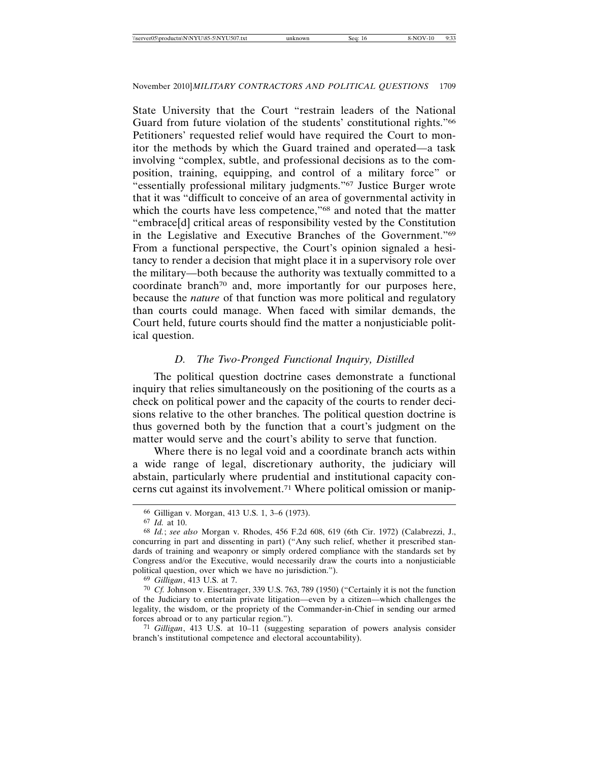State University that the Court "restrain leaders of the National Guard from future violation of the students' constitutional rights."66 Petitioners' requested relief would have required the Court to monitor the methods by which the Guard trained and operated—a task involving "complex, subtle, and professional decisions as to the composition, training, equipping, and control of a military force" or "essentially professional military judgments."67 Justice Burger wrote that it was "difficult to conceive of an area of governmental activity in which the courts have less competence,"68 and noted that the matter "embrace[d] critical areas of responsibility vested by the Constitution in the Legislative and Executive Branches of the Government."69 From a functional perspective, the Court's opinion signaled a hesitancy to render a decision that might place it in a supervisory role over the military—both because the authority was textually committed to a coordinate branch<sup>70</sup> and, more importantly for our purposes here, because the *nature* of that function was more political and regulatory than courts could manage. When faced with similar demands, the Court held, future courts should find the matter a nonjusticiable political question.

### *D. The Two-Pronged Functional Inquiry, Distilled*

The political question doctrine cases demonstrate a functional inquiry that relies simultaneously on the positioning of the courts as a check on political power and the capacity of the courts to render decisions relative to the other branches. The political question doctrine is thus governed both by the function that a court's judgment on the matter would serve and the court's ability to serve that function.

Where there is no legal void and a coordinate branch acts within a wide range of legal, discretionary authority, the judiciary will abstain, particularly where prudential and institutional capacity concerns cut against its involvement.71 Where political omission or manip-

<sup>66</sup> Gilligan v. Morgan, 413 U.S. 1, 3–6 (1973).

<sup>67</sup> *Id.* at 10.

<sup>68</sup> *Id.*; *see also* Morgan v. Rhodes, 456 F.2d 608, 619 (6th Cir. 1972) (Calabrezzi, J., concurring in part and dissenting in part) ("Any such relief, whether it prescribed standards of training and weaponry or simply ordered compliance with the standards set by Congress and/or the Executive, would necessarily draw the courts into a nonjusticiable political question, over which we have no jurisdiction.").

<sup>69</sup> *Gilligan*, 413 U.S. at 7.

<sup>70</sup> *Cf.* Johnson v. Eisentrager, 339 U.S. 763, 789 (1950) ("Certainly it is not the function of the Judiciary to entertain private litigation—even by a citizen—which challenges the legality, the wisdom, or the propriety of the Commander-in-Chief in sending our armed forces abroad or to any particular region.").

<sup>71</sup> *Gilligan*, 413 U.S. at 10–11 (suggesting separation of powers analysis consider branch's institutional competence and electoral accountability).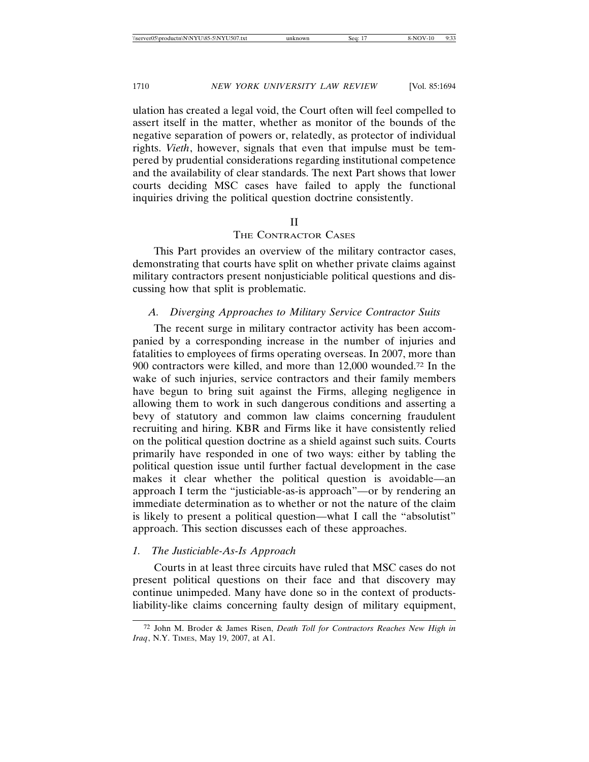ulation has created a legal void, the Court often will feel compelled to assert itself in the matter, whether as monitor of the bounds of the negative separation of powers or, relatedly, as protector of individual rights. *Vieth*, however, signals that even that impulse must be tempered by prudential considerations regarding institutional competence and the availability of clear standards. The next Part shows that lower courts deciding MSC cases have failed to apply the functional inquiries driving the political question doctrine consistently.

#### II

#### THE CONTRACTOR CASES

This Part provides an overview of the military contractor cases, demonstrating that courts have split on whether private claims against military contractors present nonjusticiable political questions and discussing how that split is problematic.

#### *A. Diverging Approaches to Military Service Contractor Suits*

The recent surge in military contractor activity has been accompanied by a corresponding increase in the number of injuries and fatalities to employees of firms operating overseas. In 2007, more than 900 contractors were killed, and more than 12,000 wounded.72 In the wake of such injuries, service contractors and their family members have begun to bring suit against the Firms, alleging negligence in allowing them to work in such dangerous conditions and asserting a bevy of statutory and common law claims concerning fraudulent recruiting and hiring. KBR and Firms like it have consistently relied on the political question doctrine as a shield against such suits. Courts primarily have responded in one of two ways: either by tabling the political question issue until further factual development in the case makes it clear whether the political question is avoidable—an approach I term the "justiciable-as-is approach"—or by rendering an immediate determination as to whether or not the nature of the claim is likely to present a political question—what I call the "absolutist" approach. This section discusses each of these approaches.

#### *1. The Justiciable-As-Is Approach*

Courts in at least three circuits have ruled that MSC cases do not present political questions on their face and that discovery may continue unimpeded. Many have done so in the context of productsliability-like claims concerning faulty design of military equipment,

<sup>72</sup> John M. Broder & James Risen, *Death Toll for Contractors Reaches New High in Iraq*, N.Y. TIMES, May 19, 2007, at A1.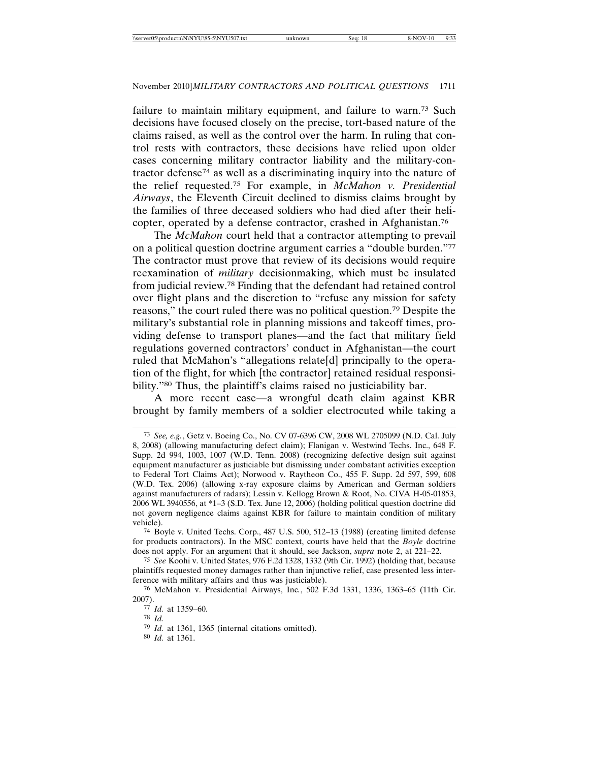failure to maintain military equipment, and failure to warn.73 Such decisions have focused closely on the precise, tort-based nature of the claims raised, as well as the control over the harm. In ruling that control rests with contractors, these decisions have relied upon older cases concerning military contractor liability and the military-contractor defense74 as well as a discriminating inquiry into the nature of the relief requested.75 For example, in *McMahon v. Presidential Airways*, the Eleventh Circuit declined to dismiss claims brought by the families of three deceased soldiers who had died after their helicopter, operated by a defense contractor, crashed in Afghanistan.76

The *McMahon* court held that a contractor attempting to prevail on a political question doctrine argument carries a "double burden."77 The contractor must prove that review of its decisions would require reexamination of *military* decisionmaking, which must be insulated from judicial review.78 Finding that the defendant had retained control over flight plans and the discretion to "refuse any mission for safety reasons," the court ruled there was no political question.79 Despite the military's substantial role in planning missions and takeoff times, providing defense to transport planes—and the fact that military field regulations governed contractors' conduct in Afghanistan—the court ruled that McMahon's "allegations relate[d] principally to the operation of the flight, for which [the contractor] retained residual responsibility."<sup>80</sup> Thus, the plaintiff's claims raised no justiciability bar.

A more recent case—a wrongful death claim against KBR brought by family members of a soldier electrocuted while taking a

74 Boyle v. United Techs. Corp., 487 U.S. 500, 512–13 (1988) (creating limited defense for products contractors). In the MSC context, courts have held that the *Boyle* doctrine does not apply. For an argument that it should, see Jackson, *supra* note 2, at 221–22.

75 *See* Koohi v. United States, 976 F.2d 1328, 1332 (9th Cir. 1992) (holding that, because plaintiffs requested money damages rather than injunctive relief, case presented less interference with military affairs and thus was justiciable).

76 McMahon v. Presidential Airways, Inc*.*, 502 F.3d 1331, 1336, 1363–65 (11th Cir. 2007).

78 *Id.*

79 *Id.* at 1361, 1365 (internal citations omitted).

80 *Id.* at 1361.

<sup>73</sup> *See, e.g.*, Getz v. Boeing Co., No. CV 07-6396 CW, 2008 WL 2705099 (N.D. Cal. July 8, 2008) (allowing manufacturing defect claim); Flanigan v. Westwind Techs. Inc., 648 F. Supp. 2d 994, 1003, 1007 (W.D. Tenn. 2008) (recognizing defective design suit against equipment manufacturer as justiciable but dismissing under combatant activities exception to Federal Tort Claims Act); Norwood v. Raytheon Co., 455 F. Supp. 2d 597, 599, 608 (W.D. Tex. 2006) (allowing x-ray exposure claims by American and German soldiers against manufacturers of radars); Lessin v. Kellogg Brown & Root, No. CIVA H-05-01853, 2006 WL 3940556, at \*1–3 (S.D. Tex. June 12, 2006) (holding political question doctrine did not govern negligence claims against KBR for failure to maintain condition of military vehicle).

<sup>77</sup> *Id.* at 1359–60.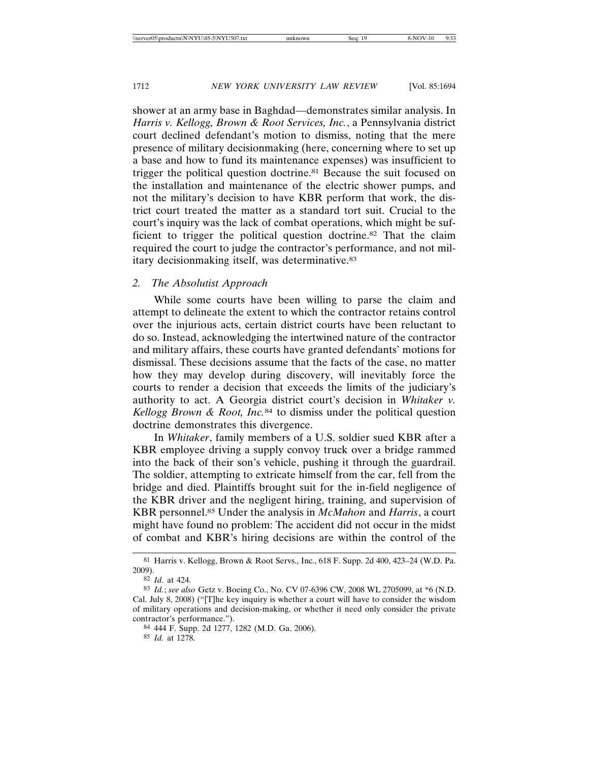shower at an army base in Baghdad—demonstrates similar analysis. In *Harris v. Kellogg, Brown & Root Services, Inc.*, a Pennsylvania district court declined defendant's motion to dismiss, noting that the mere presence of military decisionmaking (here, concerning where to set up a base and how to fund its maintenance expenses) was insufficient to trigger the political question doctrine.81 Because the suit focused on the installation and maintenance of the electric shower pumps, and not the military's decision to have KBR perform that work, the district court treated the matter as a standard tort suit. Crucial to the court's inquiry was the lack of combat operations, which might be sufficient to trigger the political question doctrine.82 That the claim required the court to judge the contractor's performance, and not military decisionmaking itself, was determinative.<sup>83</sup>

### *2. The Absolutist Approach*

While some courts have been willing to parse the claim and attempt to delineate the extent to which the contractor retains control over the injurious acts, certain district courts have been reluctant to do so. Instead, acknowledging the intertwined nature of the contractor and military affairs, these courts have granted defendants' motions for dismissal. These decisions assume that the facts of the case, no matter how they may develop during discovery, will inevitably force the courts to render a decision that exceeds the limits of the judiciary's authority to act. A Georgia district court's decision in *Whitaker v. Kellogg Brown & Root, Inc.*<sup>84</sup> to dismiss under the political question doctrine demonstrates this divergence.

In *Whitaker*, family members of a U.S. soldier sued KBR after a KBR employee driving a supply convoy truck over a bridge rammed into the back of their son's vehicle, pushing it through the guardrail. The soldier, attempting to extricate himself from the car, fell from the bridge and died. Plaintiffs brought suit for the in-field negligence of the KBR driver and the negligent hiring, training, and supervision of KBR personnel.85 Under the analysis in *McMahon* and *Harris*, a court might have found no problem: The accident did not occur in the midst of combat and KBR's hiring decisions are within the control of the

85 *Id.* at 1278.

<sup>81</sup> Harris v. Kellogg, Brown & Root Servs., Inc., 618 F. Supp. 2d 400, 423–24 (W.D. Pa. 2009).

<sup>82</sup> *Id.* at 424.

<sup>83</sup> *Id.*; *see also* Getz v. Boeing Co., No. CV 07-6396 CW, 2008 WL 2705099, at \*6 (N.D. Cal. July 8, 2008) ("[T]he key inquiry is whether a court will have to consider the wisdom of military operations and decision-making, or whether it need only consider the private contractor's performance.").

<sup>84</sup> 444 F. Supp. 2d 1277, 1282 (M.D. Ga. 2006).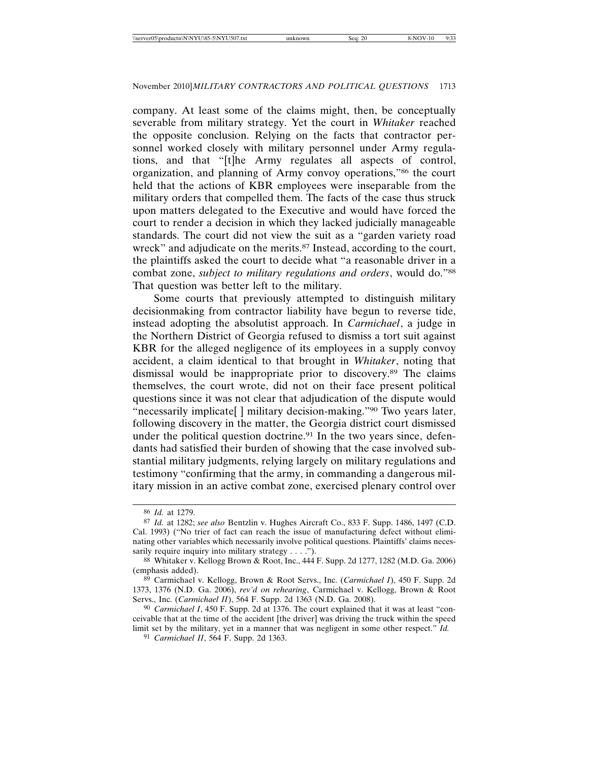company. At least some of the claims might, then, be conceptually severable from military strategy. Yet the court in *Whitaker* reached the opposite conclusion. Relying on the facts that contractor personnel worked closely with military personnel under Army regulations, and that "[t]he Army regulates all aspects of control, organization, and planning of Army convoy operations,"86 the court held that the actions of KBR employees were inseparable from the military orders that compelled them. The facts of the case thus struck upon matters delegated to the Executive and would have forced the court to render a decision in which they lacked judicially manageable standards. The court did not view the suit as a "garden variety road wreck" and adjudicate on the merits.<sup>87</sup> Instead, according to the court, the plaintiffs asked the court to decide what "a reasonable driver in a combat zone, *subject to military regulations and orders*, would do."88 That question was better left to the military.

Some courts that previously attempted to distinguish military decisionmaking from contractor liability have begun to reverse tide, instead adopting the absolutist approach. In *Carmichael*, a judge in the Northern District of Georgia refused to dismiss a tort suit against KBR for the alleged negligence of its employees in a supply convoy accident, a claim identical to that brought in *Whitaker*, noting that dismissal would be inappropriate prior to discovery.89 The claims themselves, the court wrote, did not on their face present political questions since it was not clear that adjudication of the dispute would "necessarily implicate[] military decision-making."<sup>90</sup> Two years later, following discovery in the matter, the Georgia district court dismissed under the political question doctrine.<sup>91</sup> In the two years since, defendants had satisfied their burden of showing that the case involved substantial military judgments, relying largely on military regulations and testimony "confirming that the army, in commanding a dangerous military mission in an active combat zone, exercised plenary control over

<sup>86</sup> *Id.* at 1279.

<sup>87</sup> *Id.* at 1282; *see also* Bentzlin v. Hughes Aircraft Co., 833 F. Supp. 1486, 1497 (C.D. Cal. 1993) ("No trier of fact can reach the issue of manufacturing defect without eliminating other variables which necessarily involve political questions. Plaintiffs' claims necessarily require inquiry into military strategy . . . .").

<sup>88</sup> Whitaker v. Kellogg Brown & Root, Inc., 444 F. Supp. 2d 1277, 1282 (M.D. Ga. 2006) (emphasis added).

<sup>89</sup> Carmichael v. Kellogg, Brown & Root Servs., Inc. (*Carmichael I*), 450 F. Supp. 2d 1373, 1376 (N.D. Ga. 2006), *rev'd on rehearing*, Carmichael v. Kellogg, Brown & Root Servs., Inc. (*Carmichael II*), 564 F. Supp. 2d 1363 (N.D. Ga. 2008).

<sup>90</sup> *Carmichael I*, 450 F. Supp. 2d at 1376. The court explained that it was at least "conceivable that at the time of the accident [the driver] was driving the truck within the speed limit set by the military, yet in a manner that was negligent in some other respect." *Id.*

<sup>91</sup> *Carmichael II*, 564 F. Supp. 2d 1363.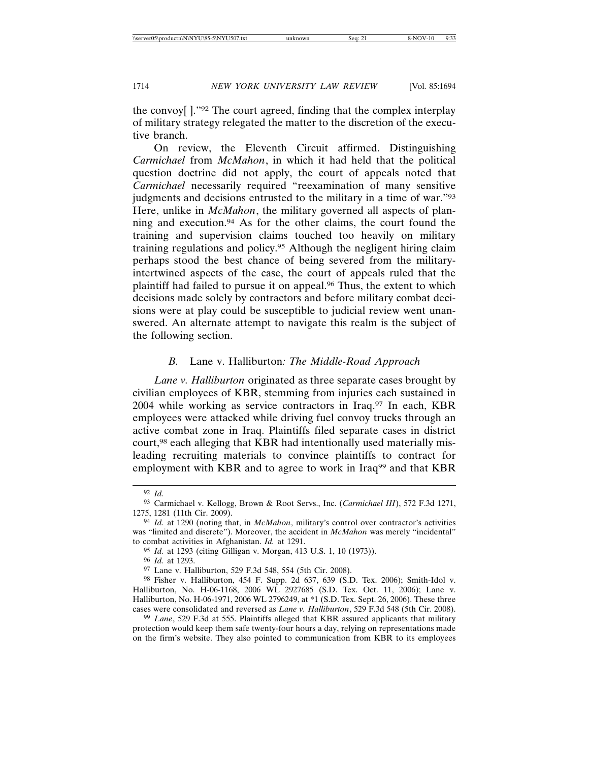the convoy[ ]."92 The court agreed, finding that the complex interplay of military strategy relegated the matter to the discretion of the executive branch.

On review, the Eleventh Circuit affirmed. Distinguishing *Carmichael* from *McMahon*, in which it had held that the political question doctrine did not apply, the court of appeals noted that *Carmichael* necessarily required "reexamination of many sensitive judgments and decisions entrusted to the military in a time of war."93 Here, unlike in *McMahon*, the military governed all aspects of planning and execution.94 As for the other claims, the court found the training and supervision claims touched too heavily on military training regulations and policy.95 Although the negligent hiring claim perhaps stood the best chance of being severed from the militaryintertwined aspects of the case, the court of appeals ruled that the plaintiff had failed to pursue it on appeal.96 Thus, the extent to which decisions made solely by contractors and before military combat decisions were at play could be susceptible to judicial review went unanswered. An alternate attempt to navigate this realm is the subject of the following section.

### *B.* Lane v. Halliburton*: The Middle-Road Approach*

*Lane v. Halliburton* originated as three separate cases brought by civilian employees of KBR, stemming from injuries each sustained in 2004 while working as service contractors in Iraq.97 In each, KBR employees were attacked while driving fuel convoy trucks through an active combat zone in Iraq. Plaintiffs filed separate cases in district court,98 each alleging that KBR had intentionally used materially misleading recruiting materials to convince plaintiffs to contract for employment with KBR and to agree to work in Iraq<sup>99</sup> and that KBR

96 *Id.* at 1293.

<sup>92</sup> *Id.*

<sup>93</sup> Carmichael v. Kellogg, Brown & Root Servs., Inc. (*Carmichael III*), 572 F.3d 1271, 1275, 1281 (11th Cir. 2009).

<sup>94</sup> *Id.* at 1290 (noting that, in *McMahon*, military's control over contractor's activities was "limited and discrete"). Moreover, the accident in *McMahon* was merely "incidental" to combat activities in Afghanistan. *Id.* at 1291.

<sup>95</sup> *Id.* at 1293 (citing Gilligan v. Morgan, 413 U.S. 1, 10 (1973)).

<sup>97</sup> Lane v. Halliburton, 529 F.3d 548, 554 (5th Cir. 2008).

<sup>98</sup> Fisher v. Halliburton, 454 F. Supp. 2d 637, 639 (S.D. Tex. 2006); Smith-Idol v. Halliburton, No. H-06-1168, 2006 WL 2927685 (S.D. Tex. Oct. 11, 2006); Lane v. Halliburton, No. H-06-1971, 2006 WL 2796249, at \*1 (S.D. Tex. Sept. 26, 2006). These three cases were consolidated and reversed as *Lane v. Halliburton*, 529 F.3d 548 (5th Cir. 2008).

<sup>99</sup> *Lane*, 529 F.3d at 555. Plaintiffs alleged that KBR assured applicants that military protection would keep them safe twenty-four hours a day, relying on representations made on the firm's website. They also pointed to communication from KBR to its employees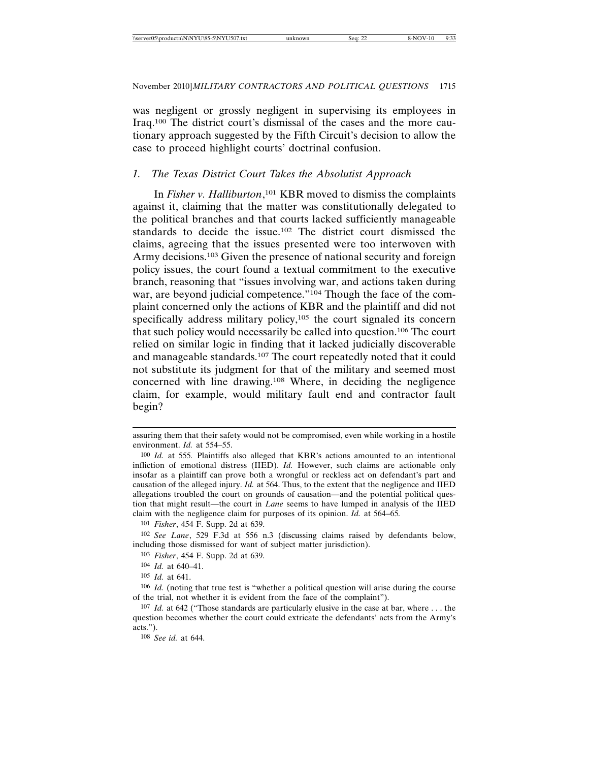was negligent or grossly negligent in supervising its employees in Iraq.100 The district court's dismissal of the cases and the more cautionary approach suggested by the Fifth Circuit's decision to allow the case to proceed highlight courts' doctrinal confusion.

### *1. The Texas District Court Takes the Absolutist Approach*

In *Fisher v. Halliburton*, <sup>101</sup> KBR moved to dismiss the complaints against it, claiming that the matter was constitutionally delegated to the political branches and that courts lacked sufficiently manageable standards to decide the issue.102 The district court dismissed the claims, agreeing that the issues presented were too interwoven with Army decisions.<sup>103</sup> Given the presence of national security and foreign policy issues, the court found a textual commitment to the executive branch, reasoning that "issues involving war, and actions taken during war, are beyond judicial competence."<sup>104</sup> Though the face of the complaint concerned only the actions of KBR and the plaintiff and did not specifically address military policy,<sup>105</sup> the court signaled its concern that such policy would necessarily be called into question.106 The court relied on similar logic in finding that it lacked judicially discoverable and manageable standards.107 The court repeatedly noted that it could not substitute its judgment for that of the military and seemed most concerned with line drawing.108 Where, in deciding the negligence claim, for example, would military fault end and contractor fault begin?

101 *Fisher*, 454 F. Supp. 2d at 639.

103 *Fisher*, 454 F. Supp. 2d at 639.

104 *Id.* at 640–41.

105 *Id.* at 641.

108 *See id.* at 644.

assuring them that their safety would not be compromised, even while working in a hostile environment. *Id.* at 554–55.

<sup>100</sup> *Id.* at 555*.* Plaintiffs also alleged that KBR's actions amounted to an intentional infliction of emotional distress (IIED). *Id.* However, such claims are actionable only insofar as a plaintiff can prove both a wrongful or reckless act on defendant's part and causation of the alleged injury. *Id.* at 564. Thus, to the extent that the negligence and IIED allegations troubled the court on grounds of causation—and the potential political question that might result—the court in *Lane* seems to have lumped in analysis of the IIED claim with the negligence claim for purposes of its opinion. *Id.* at 564–65*.*

<sup>102</sup> *See Lane*, 529 F.3d at 556 n.3 (discussing claims raised by defendants below, including those dismissed for want of subject matter jurisdiction).

<sup>106</sup> *Id.* (noting that true test is "whether a political question will arise during the course of the trial, not whether it is evident from the face of the complaint").

<sup>107</sup> *Id.* at 642 ("Those standards are particularly elusive in the case at bar, where . . . the question becomes whether the court could extricate the defendants' acts from the Army's acts.").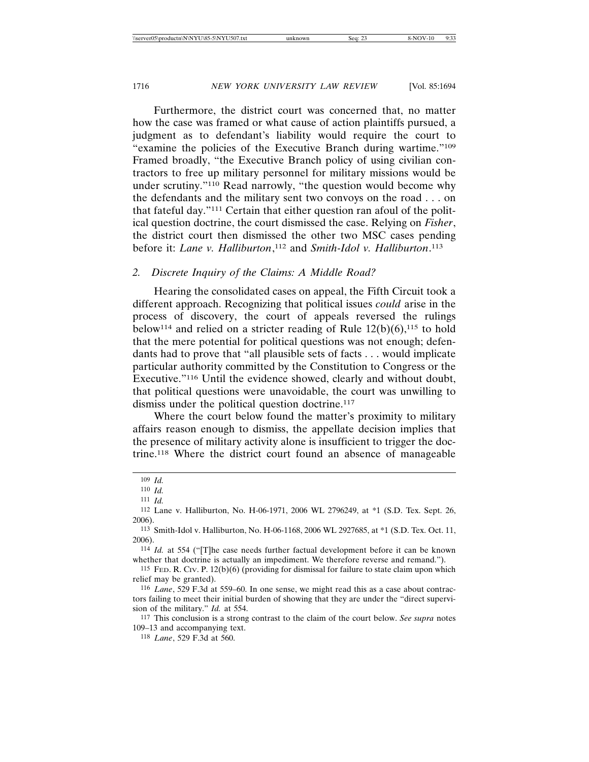Furthermore, the district court was concerned that, no matter how the case was framed or what cause of action plaintiffs pursued, a judgment as to defendant's liability would require the court to "examine the policies of the Executive Branch during wartime."109 Framed broadly, "the Executive Branch policy of using civilian contractors to free up military personnel for military missions would be under scrutiny."110 Read narrowly, "the question would become why the defendants and the military sent two convoys on the road . . . on that fateful day."111 Certain that either question ran afoul of the political question doctrine, the court dismissed the case. Relying on *Fisher*, the district court then dismissed the other two MSC cases pending before it: *Lane v. Halliburton*, 112 and *Smith-Idol v. Halliburton*. 113

#### *2. Discrete Inquiry of the Claims: A Middle Road?*

Hearing the consolidated cases on appeal, the Fifth Circuit took a different approach. Recognizing that political issues *could* arise in the process of discovery, the court of appeals reversed the rulings below<sup>114</sup> and relied on a stricter reading of Rule  $12(b)(6)$ ,<sup>115</sup> to hold that the mere potential for political questions was not enough; defendants had to prove that "all plausible sets of facts . . . would implicate particular authority committed by the Constitution to Congress or the Executive."116 Until the evidence showed, clearly and without doubt, that political questions were unavoidable, the court was unwilling to dismiss under the political question doctrine.<sup>117</sup>

Where the court below found the matter's proximity to military affairs reason enough to dismiss, the appellate decision implies that the presence of military activity alone is insufficient to trigger the doctrine.118 Where the district court found an absence of manageable

<sup>109</sup> *Id.*

<sup>110</sup> *Id.*

<sup>111</sup> *Id.*

<sup>112</sup> Lane v. Halliburton, No. H-06-1971, 2006 WL 2796249, at \*1 (S.D. Tex. Sept. 26, 2006).

<sup>113</sup> Smith-Idol v. Halliburton, No. H-06-1168, 2006 WL 2927685, at \*1 (S.D. Tex. Oct. 11, 2006).

<sup>114</sup> *Id.* at 554 ("[T]he case needs further factual development before it can be known whether that doctrine is actually an impediment. We therefore reverse and remand.").

<sup>115</sup> FED. R. CIV. P. 12(b)(6) (providing for dismissal for failure to state claim upon which relief may be granted).

<sup>116</sup> *Lane*, 529 F.3d at 559–60. In one sense, we might read this as a case about contractors failing to meet their initial burden of showing that they are under the "direct supervision of the military." *Id.* at 554.

<sup>117</sup> This conclusion is a strong contrast to the claim of the court below. *See supra* notes 109–13 and accompanying text.

<sup>118</sup> *Lane*, 529 F.3d at 560.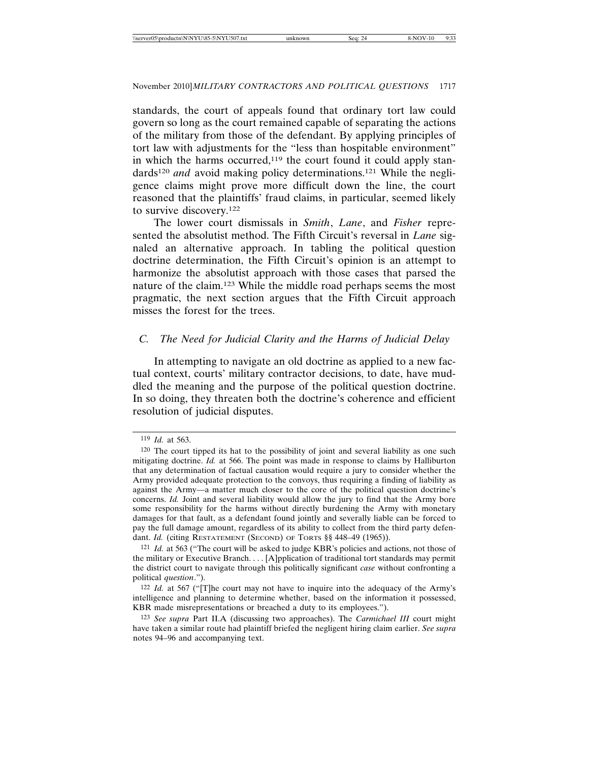standards, the court of appeals found that ordinary tort law could govern so long as the court remained capable of separating the actions of the military from those of the defendant. By applying principles of tort law with adjustments for the "less than hospitable environment" in which the harms occurred, $119$  the court found it could apply standards<sup>120</sup> *and* avoid making policy determinations.<sup>121</sup> While the negligence claims might prove more difficult down the line, the court reasoned that the plaintiffs' fraud claims, in particular, seemed likely to survive discovery.122

The lower court dismissals in *Smith*, *Lane*, and *Fisher* represented the absolutist method. The Fifth Circuit's reversal in *Lane* signaled an alternative approach. In tabling the political question doctrine determination, the Fifth Circuit's opinion is an attempt to harmonize the absolutist approach with those cases that parsed the nature of the claim.123 While the middle road perhaps seems the most pragmatic, the next section argues that the Fifth Circuit approach misses the forest for the trees.

### *C. The Need for Judicial Clarity and the Harms of Judicial Delay*

In attempting to navigate an old doctrine as applied to a new factual context, courts' military contractor decisions, to date, have muddled the meaning and the purpose of the political question doctrine. In so doing, they threaten both the doctrine's coherence and efficient resolution of judicial disputes.

<sup>119</sup> *Id.* at 563.

<sup>120</sup> The court tipped its hat to the possibility of joint and several liability as one such mitigating doctrine. *Id.* at 566. The point was made in response to claims by Halliburton that any determination of factual causation would require a jury to consider whether the Army provided adequate protection to the convoys, thus requiring a finding of liability as against the Army—a matter much closer to the core of the political question doctrine's concerns. *Id.* Joint and several liability would allow the jury to find that the Army bore some responsibility for the harms without directly burdening the Army with monetary damages for that fault, as a defendant found jointly and severally liable can be forced to pay the full damage amount, regardless of its ability to collect from the third party defendant. *Id.* (citing RESTATEMENT (SECOND) OF TORTS §§ 448-49 (1965)).

<sup>121</sup> *Id.* at 563 ("The court will be asked to judge KBR's policies and actions, not those of the military or Executive Branch. . . . [A]pplication of traditional tort standards may permit the district court to navigate through this politically significant *case* without confronting a political *question*.").

<sup>122</sup> *Id.* at 567 ("[T]he court may not have to inquire into the adequacy of the Army's intelligence and planning to determine whether, based on the information it possessed, KBR made misrepresentations or breached a duty to its employees.").

<sup>123</sup> *See supra* Part II.A (discussing two approaches). The *Carmichael III* court might have taken a similar route had plaintiff briefed the negligent hiring claim earlier. *See supra* notes 94–96 and accompanying text.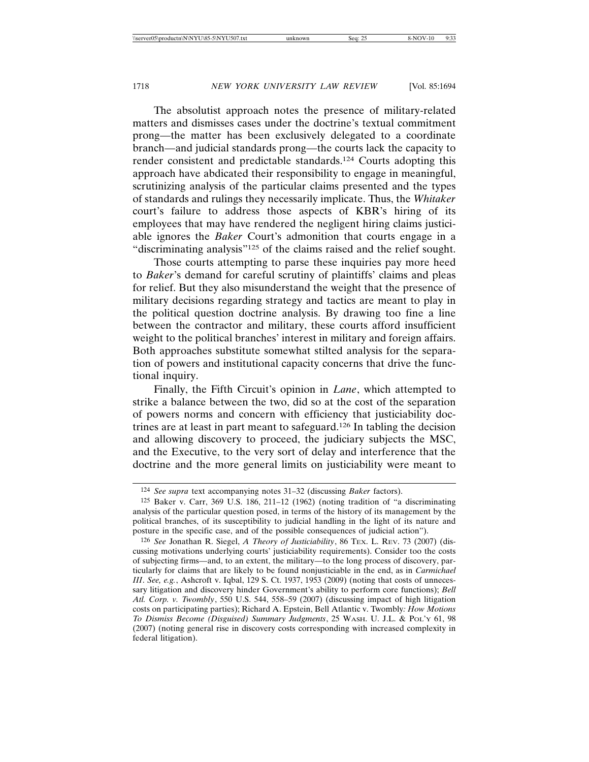The absolutist approach notes the presence of military-related matters and dismisses cases under the doctrine's textual commitment prong—the matter has been exclusively delegated to a coordinate branch—and judicial standards prong—the courts lack the capacity to render consistent and predictable standards.124 Courts adopting this approach have abdicated their responsibility to engage in meaningful, scrutinizing analysis of the particular claims presented and the types of standards and rulings they necessarily implicate. Thus, the *Whitaker* court's failure to address those aspects of KBR's hiring of its employees that may have rendered the negligent hiring claims justiciable ignores the *Baker* Court's admonition that courts engage in a "discriminating analysis"125 of the claims raised and the relief sought.

Those courts attempting to parse these inquiries pay more heed to *Baker*'s demand for careful scrutiny of plaintiffs' claims and pleas for relief. But they also misunderstand the weight that the presence of military decisions regarding strategy and tactics are meant to play in the political question doctrine analysis. By drawing too fine a line between the contractor and military, these courts afford insufficient weight to the political branches' interest in military and foreign affairs. Both approaches substitute somewhat stilted analysis for the separation of powers and institutional capacity concerns that drive the functional inquiry.

Finally, the Fifth Circuit's opinion in *Lane*, which attempted to strike a balance between the two, did so at the cost of the separation of powers norms and concern with efficiency that justiciability doctrines are at least in part meant to safeguard.126 In tabling the decision and allowing discovery to proceed, the judiciary subjects the MSC, and the Executive, to the very sort of delay and interference that the doctrine and the more general limits on justiciability were meant to

<sup>124</sup> *See supra* text accompanying notes 31–32 (discussing *Baker* factors).

<sup>125</sup> Baker v. Carr, 369 U.S. 186, 211–12 (1962) (noting tradition of "a discriminating analysis of the particular question posed, in terms of the history of its management by the political branches, of its susceptibility to judicial handling in the light of its nature and posture in the specific case, and of the possible consequences of judicial action").

<sup>126</sup> *See* Jonathan R. Siegel, *A Theory of Justiciability*, 86 TEX. L. REV. 73 (2007) (discussing motivations underlying courts' justiciability requirements). Consider too the costs of subjecting firms—and, to an extent, the military—to the long process of discovery, particularly for claims that are likely to be found nonjusticiable in the end, as in *Carmichael III*. *See, e.g.*, Ashcroft v. Iqbal, 129 S. Ct. 1937, 1953 (2009) (noting that costs of unnecessary litigation and discovery hinder Government's ability to perform core functions); *Bell Atl. Corp. v. Twombly*, 550 U.S. 544, 558–59 (2007) (discussing impact of high litigation costs on participating parties); Richard A. Epstein, Bell Atlantic v. Twombly*: How Motions To Dismiss Become (Disguised) Summary Judgments*, 25 WASH. U. J.L. & POL'Y 61, 98 (2007) (noting general rise in discovery costs corresponding with increased complexity in federal litigation).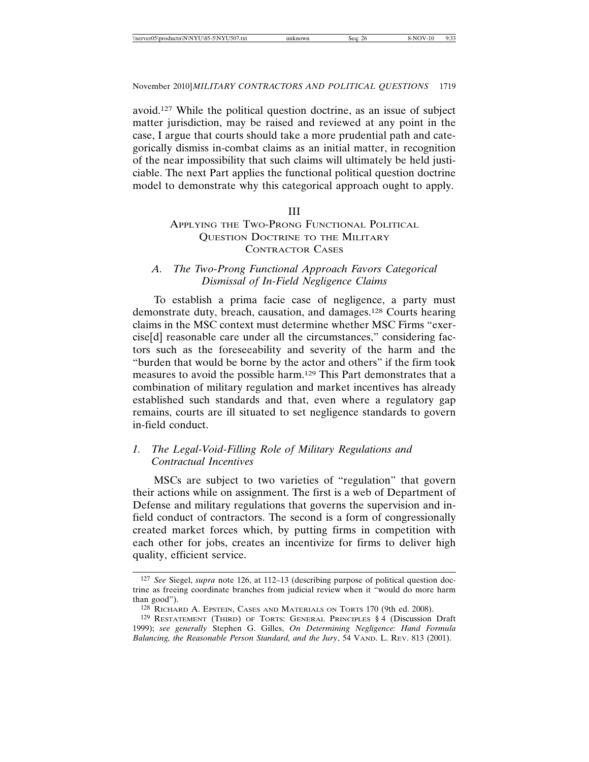avoid.127 While the political question doctrine, as an issue of subject matter jurisdiction, may be raised and reviewed at any point in the case, I argue that courts should take a more prudential path and categorically dismiss in-combat claims as an initial matter, in recognition of the near impossibility that such claims will ultimately be held justiciable. The next Part applies the functional political question doctrine model to demonstrate why this categorical approach ought to apply.

#### III

### APPLYING THE TWO-PRONG FUNCTIONAL POLITICAL QUESTION DOCTRINE TO THE MILITARY CONTRACTOR CASES

# *A. The Two-Prong Functional Approach Favors Categorical Dismissal of In-Field Negligence Claims*

To establish a prima facie case of negligence, a party must demonstrate duty, breach, causation, and damages.128 Courts hearing claims in the MSC context must determine whether MSC Firms "exercise[d] reasonable care under all the circumstances," considering factors such as the foreseeability and severity of the harm and the "burden that would be borne by the actor and others" if the firm took measures to avoid the possible harm.129 This Part demonstrates that a combination of military regulation and market incentives has already established such standards and that, even where a regulatory gap remains, courts are ill situated to set negligence standards to govern in-field conduct.

# *1. The Legal-Void-Filling Role of Military Regulations and Contractual Incentives*

MSCs are subject to two varieties of "regulation" that govern their actions while on assignment. The first is a web of Department of Defense and military regulations that governs the supervision and infield conduct of contractors. The second is a form of congressionally created market forces which, by putting firms in competition with each other for jobs, creates an incentivize for firms to deliver high quality, efficient service.

<sup>127</sup> *See* Siegel, *supra* note 126, at 112–13 (describing purpose of political question doctrine as freeing coordinate branches from judicial review when it "would do more harm than good").

<sup>128</sup> RICHARD A. EPSTEIN, CASES AND MATERIALS ON TORTS 170 (9th ed. 2008).

<sup>129</sup> RESTATEMENT (THIRD) OF TORTS: GENERAL PRINCIPLES § 4 (Discussion Draft 1999); *see generally* Stephen G. Gilles, *On Determining Negligence: Hand Formula* Balancing, the Reasonable Person Standard, and the Jury, 54 VAND. L. REV. 813 (2001).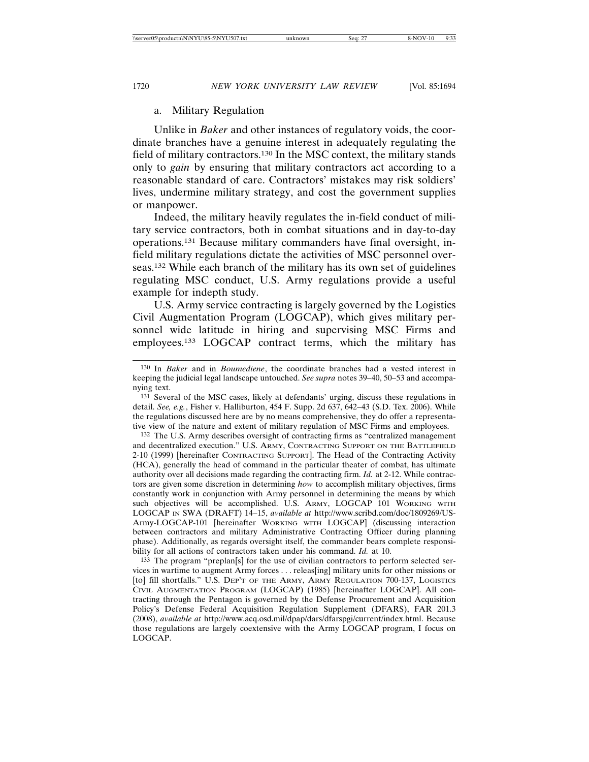#### a. Military Regulation

Unlike in *Baker* and other instances of regulatory voids, the coordinate branches have a genuine interest in adequately regulating the field of military contractors.130 In the MSC context, the military stands only to *gain* by ensuring that military contractors act according to a reasonable standard of care. Contractors' mistakes may risk soldiers' lives, undermine military strategy, and cost the government supplies or manpower.

Indeed, the military heavily regulates the in-field conduct of military service contractors, both in combat situations and in day-to-day operations.131 Because military commanders have final oversight, infield military regulations dictate the activities of MSC personnel overseas.132 While each branch of the military has its own set of guidelines regulating MSC conduct, U.S. Army regulations provide a useful example for indepth study.

U.S. Army service contracting is largely governed by the Logistics Civil Augmentation Program (LOGCAP), which gives military personnel wide latitude in hiring and supervising MSC Firms and employees.133 LOGCAP contract terms, which the military has

132 The U.S. Army describes oversight of contracting firms as "centralized management and decentralized execution." U.S. ARMY, CONTRACTING SUPPORT ON THE BATTLEFIELD 2-10 (1999) [hereinafter CONTRACTING SUPPORT]. The Head of the Contracting Activity (HCA), generally the head of command in the particular theater of combat, has ultimate authority over all decisions made regarding the contracting firm. *Id.* at 2-12. While contractors are given some discretion in determining *how* to accomplish military objectives, firms constantly work in conjunction with Army personnel in determining the means by which such objectives will be accomplished. U.S. ARMY, LOGCAP 101 WORKING WITH LOGCAP IN SWA (DRAFT) 14–15, *available at* http://www.scribd.com/doc/1809269/US-Army-LOGCAP-101 [hereinafter WORKING WITH LOGCAP] (discussing interaction between contractors and military Administrative Contracting Officer during planning phase). Additionally, as regards oversight itself, the commander bears complete responsibility for all actions of contractors taken under his command. *Id.* at 10.

133 The program "preplan[s] for the use of civilian contractors to perform selected services in wartime to augment Army forces . . . releas[ing] military units for other missions or [to] fill shortfalls." U.S. DEP'T OF THE ARMY, ARMY REGULATION 700-137, LOGISTICS CIVIL AUGMENTATION PROGRAM (LOGCAP) (1985) [hereinafter LOGCAP]. All contracting through the Pentagon is governed by the Defense Procurement and Acquisition Policy's Defense Federal Acquisition Regulation Supplement (DFARS), FAR 201.3 (2008), *available at* http://www.acq.osd.mil/dpap/dars/dfarspgi/current/index.html. Because those regulations are largely coextensive with the Army LOGCAP program, I focus on LOGCAP.

<sup>130</sup> In *Baker* and in *Boumediene*, the coordinate branches had a vested interest in keeping the judicial legal landscape untouched. *See supra* notes 39–40, 50–53 and accompanying text.

<sup>131</sup> Several of the MSC cases, likely at defendants' urging, discuss these regulations in detail. *See, e.g.*, Fisher v. Halliburton, 454 F. Supp. 2d 637, 642–43 (S.D. Tex. 2006). While the regulations discussed here are by no means comprehensive, they do offer a representative view of the nature and extent of military regulation of MSC Firms and employees.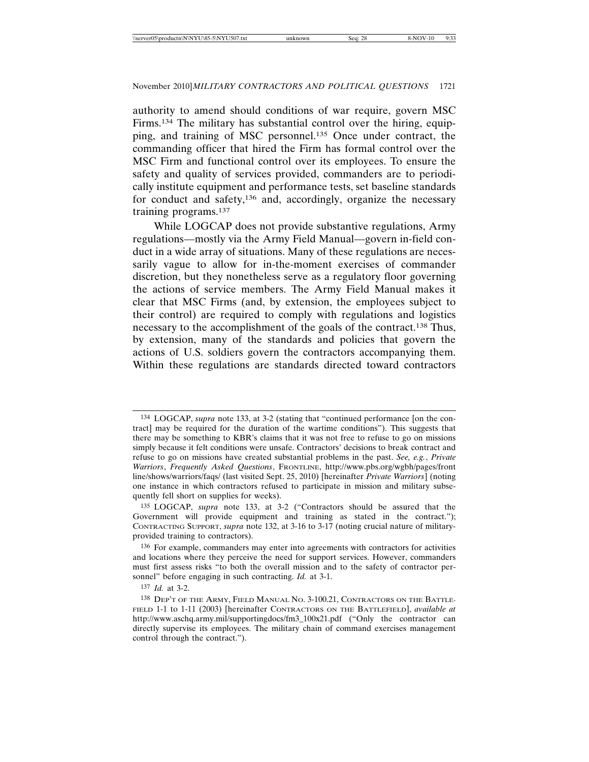authority to amend should conditions of war require, govern MSC Firms.134 The military has substantial control over the hiring, equipping, and training of MSC personnel.135 Once under contract, the commanding officer that hired the Firm has formal control over the MSC Firm and functional control over its employees. To ensure the safety and quality of services provided, commanders are to periodically institute equipment and performance tests, set baseline standards for conduct and safety,136 and, accordingly, organize the necessary training programs.137

While LOGCAP does not provide substantive regulations, Army regulations—mostly via the Army Field Manual—govern in-field conduct in a wide array of situations. Many of these regulations are necessarily vague to allow for in-the-moment exercises of commander discretion, but they nonetheless serve as a regulatory floor governing the actions of service members. The Army Field Manual makes it clear that MSC Firms (and, by extension, the employees subject to their control) are required to comply with regulations and logistics necessary to the accomplishment of the goals of the contract.138 Thus, by extension, many of the standards and policies that govern the actions of U.S. soldiers govern the contractors accompanying them. Within these regulations are standards directed toward contractors

137 *Id.* at 3-2.

<sup>134</sup> LOGCAP, *supra* note 133, at 3-2 (stating that "continued performance [on the contract] may be required for the duration of the wartime conditions"). This suggests that there may be something to KBR's claims that it was not free to refuse to go on missions simply because it felt conditions were unsafe. Contractors' decisions to break contract and refuse to go on missions have created substantial problems in the past. *See, e.g.*, *Private Warriors*, *Frequently Asked Questions*, FRONTLINE, http://www.pbs.org/wgbh/pages/front line/shows/warriors/faqs/ (last visited Sept. 25, 2010) [hereinafter *Private Warriors*] (noting one instance in which contractors refused to participate in mission and military subsequently fell short on supplies for weeks).

<sup>135</sup> LOGCAP, *supra* note 133, at 3-2 ("Contractors should be assured that the Government will provide equipment and training as stated in the contract."); CONTRACTING SUPPORT, *supra* note 132, at 3-16 to 3-17 (noting crucial nature of militaryprovided training to contractors).

<sup>136</sup> For example, commanders may enter into agreements with contractors for activities and locations where they perceive the need for support services. However, commanders must first assess risks "to both the overall mission and to the safety of contractor personnel" before engaging in such contracting. *Id.* at 3-1.

<sup>138</sup> DEP'T OF THE ARMY, FIELD MANUAL NO. 3-100.21, CONTRACTORS ON THE BATTLE-FIELD 1-1 to 1-11 (2003) [hereinafter CONTRACTORS ON THE BATTLEFIELD], *available at* http://www.aschq.army.mil/supportingdocs/fm3\_100x21.pdf ("Only the contractor can directly supervise its employees. The military chain of command exercises management control through the contract.").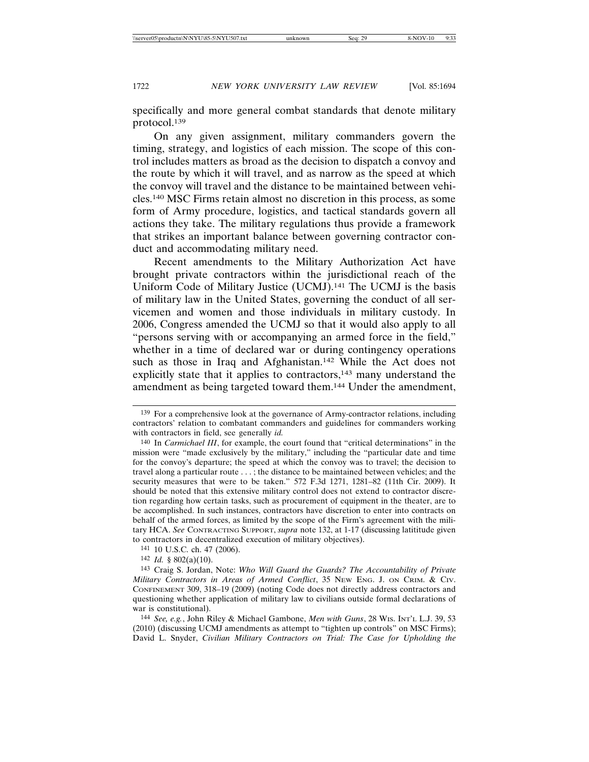specifically and more general combat standards that denote military protocol.139

On any given assignment, military commanders govern the timing, strategy, and logistics of each mission. The scope of this control includes matters as broad as the decision to dispatch a convoy and the route by which it will travel, and as narrow as the speed at which the convoy will travel and the distance to be maintained between vehicles.140 MSC Firms retain almost no discretion in this process, as some form of Army procedure, logistics, and tactical standards govern all actions they take. The military regulations thus provide a framework that strikes an important balance between governing contractor conduct and accommodating military need.

Recent amendments to the Military Authorization Act have brought private contractors within the jurisdictional reach of the Uniform Code of Military Justice (UCMJ).141 The UCMJ is the basis of military law in the United States, governing the conduct of all servicemen and women and those individuals in military custody. In 2006, Congress amended the UCMJ so that it would also apply to all "persons serving with or accompanying an armed force in the field," whether in a time of declared war or during contingency operations such as those in Iraq and Afghanistan.<sup>142</sup> While the Act does not explicitly state that it applies to contractors,<sup>143</sup> many understand the amendment as being targeted toward them.144 Under the amendment,

141 10 U.S.C. ch. 47 (2006).

142 *Id.* § 802(a)(10).

<sup>139</sup> For a comprehensive look at the governance of Army-contractor relations, including contractors' relation to combatant commanders and guidelines for commanders working with contractors in field, see generally *id.*

<sup>140</sup> In *Carmichael III*, for example, the court found that "critical determinations" in the mission were "made exclusively by the military," including the "particular date and time for the convoy's departure; the speed at which the convoy was to travel; the decision to travel along a particular route . . . ; the distance to be maintained between vehicles; and the security measures that were to be taken." 572 F.3d 1271, 1281–82 (11th Cir. 2009). It should be noted that this extensive military control does not extend to contractor discretion regarding how certain tasks, such as procurement of equipment in the theater, are to be accomplished. In such instances, contractors have discretion to enter into contracts on behalf of the armed forces, as limited by the scope of the Firm's agreement with the military HCA. *See* CONTRACTING SUPPORT, *supra* note 132, at 1-17 (discussing latititude given to contractors in decentralized execution of military objectives).

<sup>143</sup> Craig S. Jordan, Note: *Who Will Guard the Guards? The Accountability of Private Military Contractors in Areas of Armed Conflict*, 35 NEW ENG. J. ON CRIM. & CIV. CONFINEMENT 309, 318–19 (2009) (noting Code does not directly address contractors and questioning whether application of military law to civilians outside formal declarations of war is constitutional).

<sup>144</sup> *See, e.g.*, John Riley & Michael Gambone, *Men with Guns*, 28 WIS. INT'L L.J. 39, 53 (2010) (discussing UCMJ amendments as attempt to "tighten up controls" on MSC Firms); David L. Snyder, *Civilian Military Contractors on Trial: The Case for Upholding the*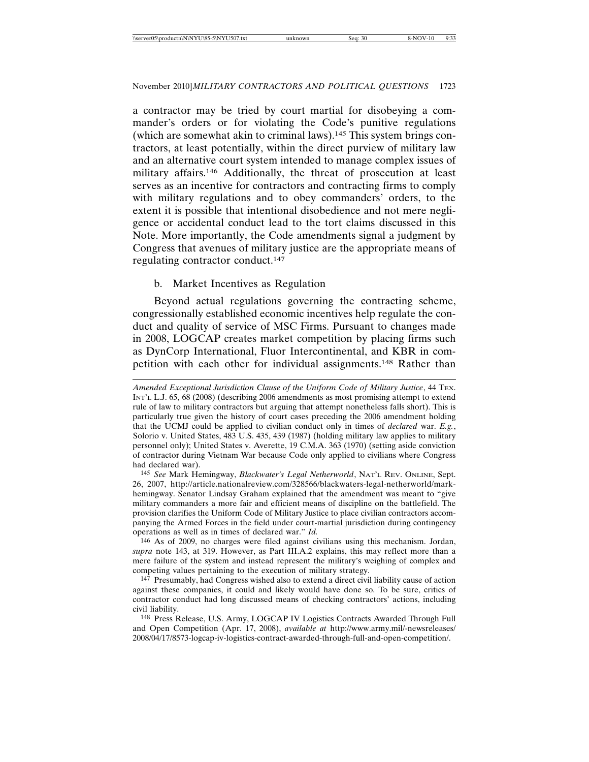a contractor may be tried by court martial for disobeying a commander's orders or for violating the Code's punitive regulations (which are somewhat akin to criminal laws).145 This system brings contractors, at least potentially, within the direct purview of military law and an alternative court system intended to manage complex issues of military affairs.146 Additionally, the threat of prosecution at least serves as an incentive for contractors and contracting firms to comply with military regulations and to obey commanders' orders, to the extent it is possible that intentional disobedience and not mere negligence or accidental conduct lead to the tort claims discussed in this Note. More importantly, the Code amendments signal a judgment by Congress that avenues of military justice are the appropriate means of regulating contractor conduct.147

### b. Market Incentives as Regulation

Beyond actual regulations governing the contracting scheme, congressionally established economic incentives help regulate the conduct and quality of service of MSC Firms. Pursuant to changes made in 2008, LOGCAP creates market competition by placing firms such as DynCorp International, Fluor Intercontinental, and KBR in competition with each other for individual assignments.148 Rather than

145 *See* Mark Hemingway, *Blackwater's Legal Netherworld*, NAT'L REV. ONLINE, Sept. 26, 2007, http://article.nationalreview.com/328566/blackwaters-legal-netherworld/markhemingway. Senator Lindsay Graham explained that the amendment was meant to "give military commanders a more fair and efficient means of discipline on the battlefield. The provision clarifies the Uniform Code of Military Justice to place civilian contractors accompanying the Armed Forces in the field under court-martial jurisdiction during contingency operations as well as in times of declared war." *Id.*

146 As of 2009, no charges were filed against civilians using this mechanism. Jordan, *supra* note 143, at 319. However, as Part III.A.2 explains, this may reflect more than a mere failure of the system and instead represent the military's weighing of complex and competing values pertaining to the execution of military strategy.

147 Presumably, had Congress wished also to extend a direct civil liability cause of action against these companies, it could and likely would have done so. To be sure, critics of contractor conduct had long discussed means of checking contractors' actions, including civil liability.

148 Press Release, U.S. Army, LOGCAP IV Logistics Contracts Awarded Through Full and Open Competition (Apr. 17, 2008), *available at* http://www.army.mil/-newsreleases/ 2008/04/17/8573-logcap-iv-logistics-contract-awarded-through-full-and-open-competition/.

*Amended Exceptional Jurisdiction Clause of the Uniform Code of Military Justice*, 44 TEX. INT'L L.J. 65, 68 (2008) (describing 2006 amendments as most promising attempt to extend rule of law to military contractors but arguing that attempt nonetheless falls short). This is particularly true given the history of court cases preceding the 2006 amendment holding that the UCMJ could be applied to civilian conduct only in times of *declared* war. *E.g.*, Solorio v. United States, 483 U.S. 435, 439 (1987) (holding military law applies to military personnel only); United States v. Averette, 19 C.M.A. 363 (1970) (setting aside conviction of contractor during Vietnam War because Code only applied to civilians where Congress had declared war).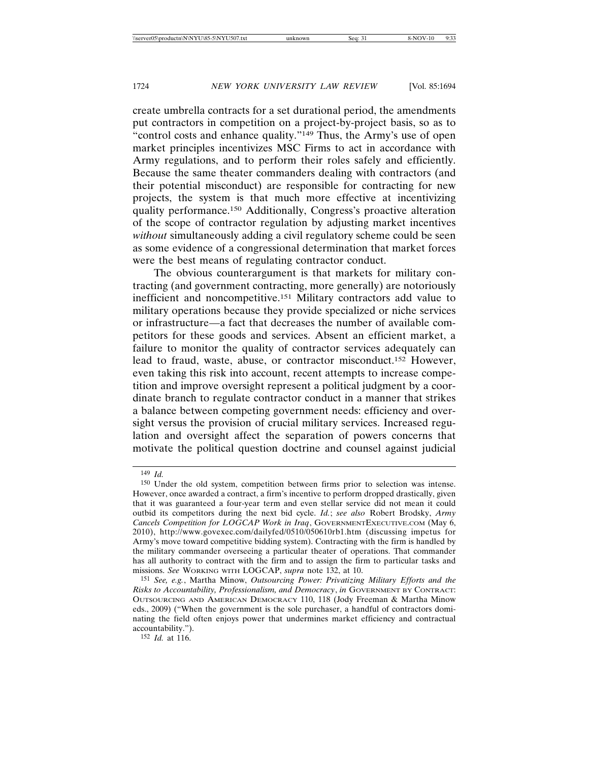create umbrella contracts for a set durational period, the amendments put contractors in competition on a project-by-project basis, so as to "control costs and enhance quality."149 Thus, the Army's use of open market principles incentivizes MSC Firms to act in accordance with Army regulations, and to perform their roles safely and efficiently. Because the same theater commanders dealing with contractors (and their potential misconduct) are responsible for contracting for new projects, the system is that much more effective at incentivizing quality performance.150 Additionally, Congress's proactive alteration of the scope of contractor regulation by adjusting market incentives *without* simultaneously adding a civil regulatory scheme could be seen as some evidence of a congressional determination that market forces were the best means of regulating contractor conduct.

The obvious counterargument is that markets for military contracting (and government contracting, more generally) are notoriously inefficient and noncompetitive.151 Military contractors add value to military operations because they provide specialized or niche services or infrastructure—a fact that decreases the number of available competitors for these goods and services. Absent an efficient market, a failure to monitor the quality of contractor services adequately can lead to fraud, waste, abuse, or contractor misconduct.152 However, even taking this risk into account, recent attempts to increase competition and improve oversight represent a political judgment by a coordinate branch to regulate contractor conduct in a manner that strikes a balance between competing government needs: efficiency and oversight versus the provision of crucial military services. Increased regulation and oversight affect the separation of powers concerns that motivate the political question doctrine and counsel against judicial

152 *Id.* at 116.

<sup>149</sup> *Id.*

<sup>150</sup> Under the old system, competition between firms prior to selection was intense. However, once awarded a contract, a firm's incentive to perform dropped drastically, given that it was guaranteed a four-year term and even stellar service did not mean it could outbid its competitors during the next bid cycle. *Id.*; *see also* Robert Brodsky, *Army Cancels Competition for LOGCAP Work in Iraq*, GOVERNMENTEXECUTIVE.COM (May 6, 2010), http://www.govexec.com/dailyfed/0510/050610rb1.htm (discussing impetus for Army's move toward competitive bidding system). Contracting with the firm is handled by the military commander overseeing a particular theater of operations. That commander has all authority to contract with the firm and to assign the firm to particular tasks and missions. *See* WORKING WITH LOGCAP, *supra* note 132, at 10.

<sup>151</sup> *See, e.g.*, Martha Minow, *Outsourcing Power: Privatizing Military Efforts and the Risks to Accountability, Professionalism, and Democracy*, *in* GOVERNMENT BY CONTRACT: OUTSOURCING AND AMERICAN DEMOCRACY 110, 118 (Jody Freeman & Martha Minow eds., 2009) ("When the government is the sole purchaser, a handful of contractors dominating the field often enjoys power that undermines market efficiency and contractual accountability.").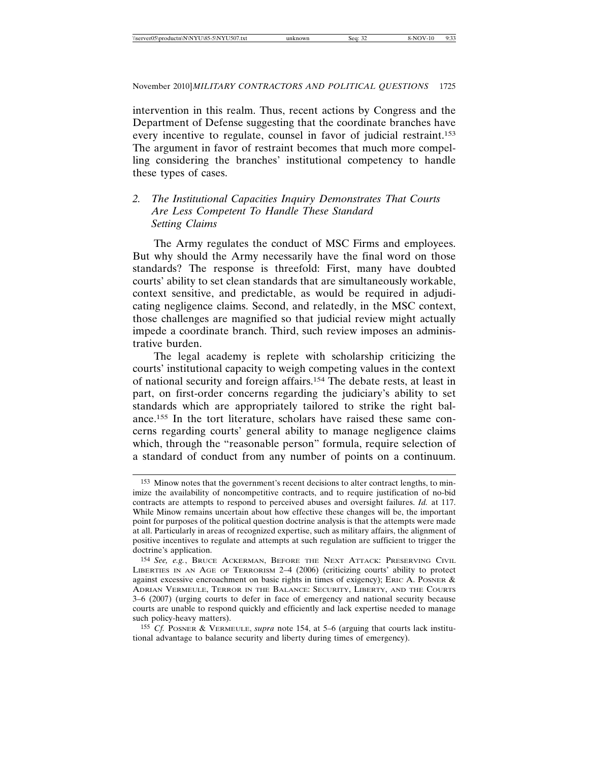intervention in this realm. Thus, recent actions by Congress and the Department of Defense suggesting that the coordinate branches have every incentive to regulate, counsel in favor of judicial restraint.153 The argument in favor of restraint becomes that much more compelling considering the branches' institutional competency to handle these types of cases.

# *2. The Institutional Capacities Inquiry Demonstrates That Courts Are Less Competent To Handle These Standard Setting Claims*

The Army regulates the conduct of MSC Firms and employees. But why should the Army necessarily have the final word on those standards? The response is threefold: First, many have doubted courts' ability to set clean standards that are simultaneously workable, context sensitive, and predictable, as would be required in adjudicating negligence claims. Second, and relatedly, in the MSC context, those challenges are magnified so that judicial review might actually impede a coordinate branch. Third, such review imposes an administrative burden.

The legal academy is replete with scholarship criticizing the courts' institutional capacity to weigh competing values in the context of national security and foreign affairs.154 The debate rests, at least in part, on first-order concerns regarding the judiciary's ability to set standards which are appropriately tailored to strike the right balance.155 In the tort literature, scholars have raised these same concerns regarding courts' general ability to manage negligence claims which, through the "reasonable person" formula, require selection of a standard of conduct from any number of points on a continuum.

<sup>153</sup> Minow notes that the government's recent decisions to alter contract lengths, to minimize the availability of noncompetitive contracts, and to require justification of no-bid contracts are attempts to respond to perceived abuses and oversight failures. *Id.* at 117. While Minow remains uncertain about how effective these changes will be, the important point for purposes of the political question doctrine analysis is that the attempts were made at all. Particularly in areas of recognized expertise, such as military affairs, the alignment of positive incentives to regulate and attempts at such regulation are sufficient to trigger the doctrine's application.

<sup>154</sup> *See, e.g.*, BRUCE ACKERMAN, BEFORE THE NEXT ATTACK: PRESERVING CIVIL LIBERTIES IN AN AGE OF TERRORISM 2–4 (2006) (criticizing courts' ability to protect against excessive encroachment on basic rights in times of exigency); ERIC A. POSNER  $\&$ ADRIAN VERMEULE, TERROR IN THE BALANCE: SECURITY, LIBERTY, AND THE COURTS 3–6 (2007) (urging courts to defer in face of emergency and national security because courts are unable to respond quickly and efficiently and lack expertise needed to manage such policy-heavy matters).

<sup>155</sup> *Cf.* POSNER & VERMEULE, *supra* note 154, at 5–6 (arguing that courts lack institutional advantage to balance security and liberty during times of emergency).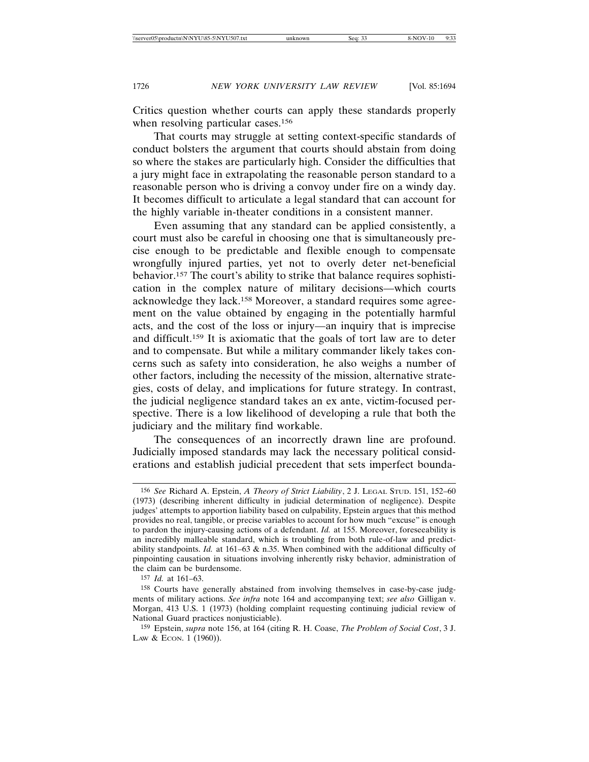Critics question whether courts can apply these standards properly when resolving particular cases.<sup>156</sup>

That courts may struggle at setting context-specific standards of conduct bolsters the argument that courts should abstain from doing so where the stakes are particularly high. Consider the difficulties that a jury might face in extrapolating the reasonable person standard to a reasonable person who is driving a convoy under fire on a windy day. It becomes difficult to articulate a legal standard that can account for the highly variable in-theater conditions in a consistent manner.

Even assuming that any standard can be applied consistently, a court must also be careful in choosing one that is simultaneously precise enough to be predictable and flexible enough to compensate wrongfully injured parties, yet not to overly deter net-beneficial behavior.157 The court's ability to strike that balance requires sophistication in the complex nature of military decisions—which courts acknowledge they lack.158 Moreover, a standard requires some agreement on the value obtained by engaging in the potentially harmful acts, and the cost of the loss or injury—an inquiry that is imprecise and difficult.159 It is axiomatic that the goals of tort law are to deter and to compensate. But while a military commander likely takes concerns such as safety into consideration, he also weighs a number of other factors, including the necessity of the mission, alternative strategies, costs of delay, and implications for future strategy. In contrast, the judicial negligence standard takes an ex ante, victim-focused perspective. There is a low likelihood of developing a rule that both the judiciary and the military find workable.

The consequences of an incorrectly drawn line are profound. Judicially imposed standards may lack the necessary political considerations and establish judicial precedent that sets imperfect bounda-

<sup>156</sup> *See* Richard A. Epstein, *A Theory of Strict Liability*, 2 J. LEGAL STUD. 151, 152–60 (1973) (describing inherent difficulty in judicial determination of negligence). Despite judges' attempts to apportion liability based on culpability, Epstein argues that this method provides no real, tangible, or precise variables to account for how much "excuse" is enough to pardon the injury-causing actions of a defendant. *Id.* at 155. Moreover, foreseeability is an incredibly malleable standard, which is troubling from both rule-of-law and predictability standpoints. *Id.* at 161–63 & n.35. When combined with the additional difficulty of pinpointing causation in situations involving inherently risky behavior, administration of the claim can be burdensome.

<sup>157</sup> *Id.* at 161–63.

<sup>158</sup> Courts have generally abstained from involving themselves in case-by-case judgments of military actions. *See infra* note 164 and accompanying text; *see also* Gilligan v. Morgan, 413 U.S. 1 (1973) (holding complaint requesting continuing judicial review of National Guard practices nonjusticiable).

<sup>159</sup> Epstein, *supra* note 156, at 164 (citing R. H. Coase, *The Problem of Social Cost*, 3 J. LAW & ECON. 1 (1960)).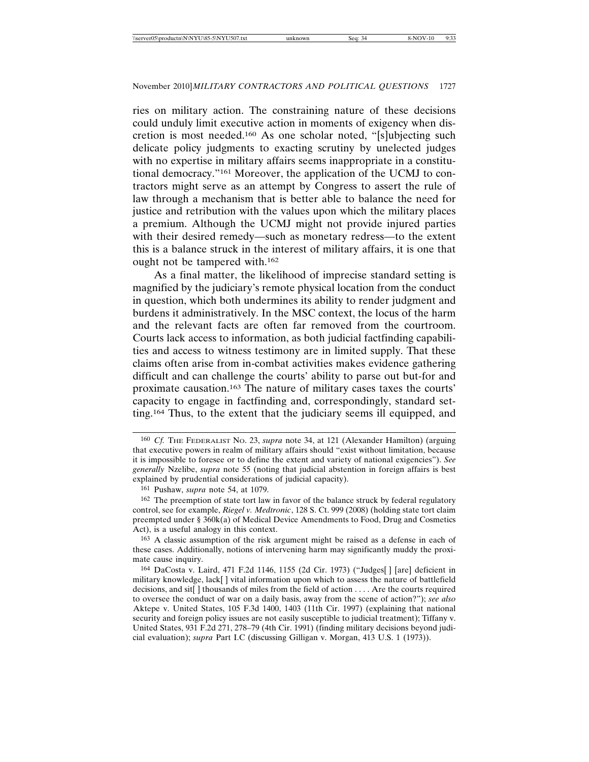ries on military action. The constraining nature of these decisions could unduly limit executive action in moments of exigency when discretion is most needed.160 As one scholar noted, "[s]ubjecting such delicate policy judgments to exacting scrutiny by unelected judges with no expertise in military affairs seems inappropriate in a constitutional democracy."161 Moreover, the application of the UCMJ to contractors might serve as an attempt by Congress to assert the rule of law through a mechanism that is better able to balance the need for justice and retribution with the values upon which the military places a premium. Although the UCMJ might not provide injured parties with their desired remedy—such as monetary redress—to the extent this is a balance struck in the interest of military affairs, it is one that ought not be tampered with.162

As a final matter, the likelihood of imprecise standard setting is magnified by the judiciary's remote physical location from the conduct in question, which both undermines its ability to render judgment and burdens it administratively. In the MSC context, the locus of the harm and the relevant facts are often far removed from the courtroom. Courts lack access to information, as both judicial factfinding capabilities and access to witness testimony are in limited supply. That these claims often arise from in-combat activities makes evidence gathering difficult and can challenge the courts' ability to parse out but-for and proximate causation.163 The nature of military cases taxes the courts' capacity to engage in factfinding and, correspondingly, standard setting.164 Thus, to the extent that the judiciary seems ill equipped, and

163 A classic assumption of the risk argument might be raised as a defense in each of these cases. Additionally, notions of intervening harm may significantly muddy the proximate cause inquiry.

<sup>160</sup> *Cf.* THE FEDERALIST NO. 23, *supra* note 34, at 121 (Alexander Hamilton) (arguing that executive powers in realm of military affairs should "exist without limitation, because it is impossible to foresee or to define the extent and variety of national exigencies"). *See generally* Nzelibe, *supra* note 55 (noting that judicial abstention in foreign affairs is best explained by prudential considerations of judicial capacity).

<sup>161</sup> Pushaw, *supra* note 54, at 1079.

<sup>&</sup>lt;sup>162</sup> The preemption of state tort law in favor of the balance struck by federal regulatory control, see for example, *Riegel v. Medtronic*, 128 S. Ct. 999 (2008) (holding state tort claim preempted under § 360k(a) of Medical Device Amendments to Food, Drug and Cosmetics Act), is a useful analogy in this context.

<sup>164</sup> DaCosta v. Laird, 471 F.2d 1146, 1155 (2d Cir. 1973) ("Judges[ ] [are] deficient in military knowledge, lack[ ] vital information upon which to assess the nature of battlefield decisions, and sit<sup>[</sup>] thousands of miles from the field of action . . . . Are the courts required to oversee the conduct of war on a daily basis, away from the scene of action?"); *see also* Aktepe v. United States, 105 F.3d 1400, 1403 (11th Cir. 1997) (explaining that national security and foreign policy issues are not easily susceptible to judicial treatment); Tiffany v. United States, 931 F.2d 271, 278–79 (4th Cir. 1991) (finding military decisions beyond judicial evaluation); *supra* Part I.C (discussing Gilligan v. Morgan, 413 U.S. 1 (1973)).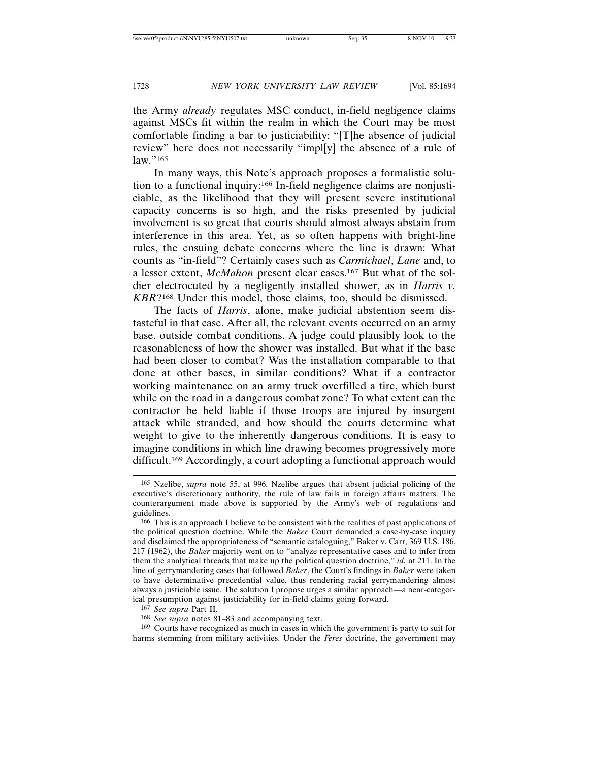the Army *already* regulates MSC conduct, in-field negligence claims against MSCs fit within the realm in which the Court may be most comfortable finding a bar to justiciability: "[T]he absence of judicial review" here does not necessarily "impl[y] the absence of a rule of law."165

In many ways, this Note's approach proposes a formalistic solution to a functional inquiry:166 In-field negligence claims are nonjusticiable, as the likelihood that they will present severe institutional capacity concerns is so high, and the risks presented by judicial involvement is so great that courts should almost always abstain from interference in this area. Yet, as so often happens with bright-line rules, the ensuing debate concerns where the line is drawn: What counts as "in-field"? Certainly cases such as *Carmichael*, *Lane* and, to a lesser extent, *McMahon* present clear cases.167 But what of the soldier electrocuted by a negligently installed shower, as in *Harris v. KBR*?168 Under this model, those claims, too, should be dismissed.

The facts of *Harris*, alone, make judicial abstention seem distasteful in that case. After all, the relevant events occurred on an army base, outside combat conditions. A judge could plausibly look to the reasonableness of how the shower was installed. But what if the base had been closer to combat? Was the installation comparable to that done at other bases, in similar conditions? What if a contractor working maintenance on an army truck overfilled a tire, which burst while on the road in a dangerous combat zone? To what extent can the contractor be held liable if those troops are injured by insurgent attack while stranded, and how should the courts determine what weight to give to the inherently dangerous conditions. It is easy to imagine conditions in which line drawing becomes progressively more difficult.<sup>169</sup> Accordingly, a court adopting a functional approach would

169 Courts have recognized as much in cases in which the government is party to suit for harms stemming from military activities. Under the *Feres* doctrine, the government may

<sup>165</sup> Nzelibe, *supra* note 55, at 996. Nzelibe argues that absent judicial policing of the executive's discretionary authority, the rule of law fails in foreign affairs matters. The counterargument made above is supported by the Army's web of regulations and guidelines.

<sup>166</sup> This is an approach I believe to be consistent with the realities of past applications of the political question doctrine. While the *Baker* Court demanded a case-by-case inquiry and disclaimed the appropriateness of "semantic cataloguing," Baker v. Carr, 369 U.S. 186, 217 (1962), the *Baker* majority went on to "analyze representative cases and to infer from them the analytical threads that make up the political question doctrine," *id.* at 211. In the line of gerrymandering cases that followed *Baker*, the Court's findings in *Baker* were taken to have determinative precedential value, thus rendering racial gerrymandering almost always a justiciable issue. The solution I propose urges a similar approach—a near-categorical presumption against justiciability for in-field claims going forward.

<sup>167</sup> *See supra* Part II.

<sup>168</sup> *See supra* notes 81–83 and accompanying text.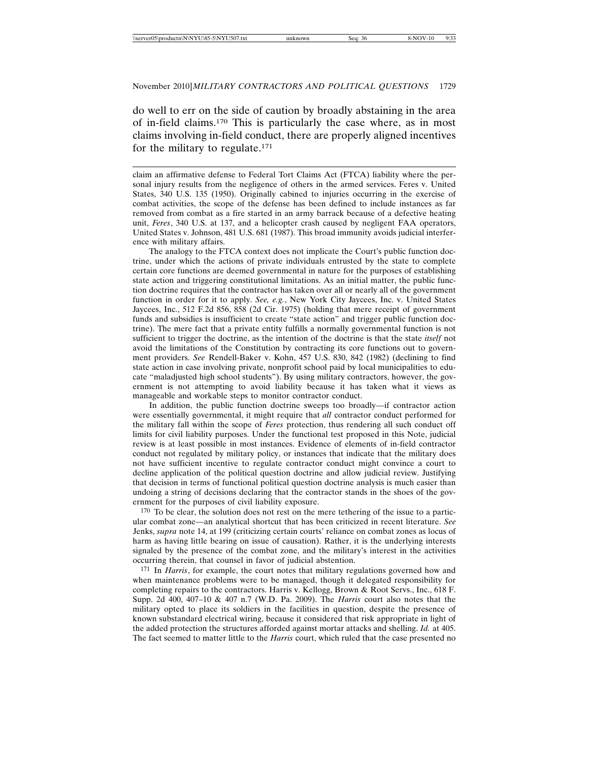do well to err on the side of caution by broadly abstaining in the area of in-field claims.170 This is particularly the case where, as in most claims involving in-field conduct, there are properly aligned incentives for the military to regulate.171

claim an affirmative defense to Federal Tort Claims Act (FTCA) liability where the personal injury results from the negligence of others in the armed services. Feres v. United States, 340 U.S. 135 (1950). Originally cabined to injuries occurring in the exercise of combat activities, the scope of the defense has been defined to include instances as far removed from combat as a fire started in an army barrack because of a defective heating unit, *Feres*, 340 U.S. at 137, and a helicopter crash caused by negligent FAA operators, United States v. Johnson, 481 U.S. 681 (1987). This broad immunity avoids judicial interference with military affairs.

The analogy to the FTCA context does not implicate the Court's public function doctrine, under which the actions of private individuals entrusted by the state to complete certain core functions are deemed governmental in nature for the purposes of establishing state action and triggering constitutional limitations. As an initial matter, the public function doctrine requires that the contractor has taken over all or nearly all of the government function in order for it to apply. *See, e.g.*, New York City Jaycees, Inc. v. United States Jaycees, Inc., 512 F.2d 856, 858 (2d Cir. 1975) (holding that mere receipt of government funds and subsidies is insufficient to create "state action" and trigger public function doctrine). The mere fact that a private entity fulfills a normally governmental function is not sufficient to trigger the doctrine, as the intention of the doctrine is that the state *itself* not avoid the limitations of the Constitution by contracting its core functions out to government providers. *See* Rendell-Baker v. Kohn, 457 U.S. 830, 842 (1982) (declining to find state action in case involving private, nonprofit school paid by local municipalities to educate "maladjusted high school students"). By using military contractors, however, the government is not attempting to avoid liability because it has taken what it views as manageable and workable steps to monitor contractor conduct.

In addition, the public function doctrine sweeps too broadly—if contractor action were essentially governmental, it might require that *all* contractor conduct performed for the military fall within the scope of *Feres* protection, thus rendering all such conduct off limits for civil liability purposes. Under the functional test proposed in this Note, judicial review is at least possible in most instances. Evidence of elements of in-field contractor conduct not regulated by military policy, or instances that indicate that the military does not have sufficient incentive to regulate contractor conduct might convince a court to decline application of the political question doctrine and allow judicial review. Justifying that decision in terms of functional political question doctrine analysis is much easier than undoing a string of decisions declaring that the contractor stands in the shoes of the government for the purposes of civil liability exposure.

170 To be clear, the solution does not rest on the mere tethering of the issue to a particular combat zone—an analytical shortcut that has been criticized in recent literature. *See* Jenks, *supra* note 14, at 199 (criticizing certain courts' reliance on combat zones as locus of harm as having little bearing on issue of causation). Rather, it is the underlying interests signaled by the presence of the combat zone, and the military's interest in the activities occurring therein, that counsel in favor of judicial abstention.

171 In *Harris*, for example, the court notes that military regulations governed how and when maintenance problems were to be managed, though it delegated responsibility for completing repairs to the contractors. Harris v. Kellogg, Brown & Root Servs., Inc., 618 F. Supp. 2d 400, 407–10 & 407 n.7 (W.D. Pa. 2009). The *Harris* court also notes that the military opted to place its soldiers in the facilities in question, despite the presence of known substandard electrical wiring, because it considered that risk appropriate in light of the added protection the structures afforded against mortar attacks and shelling. *Id.* at 405. The fact seemed to matter little to the *Harris* court, which ruled that the case presented no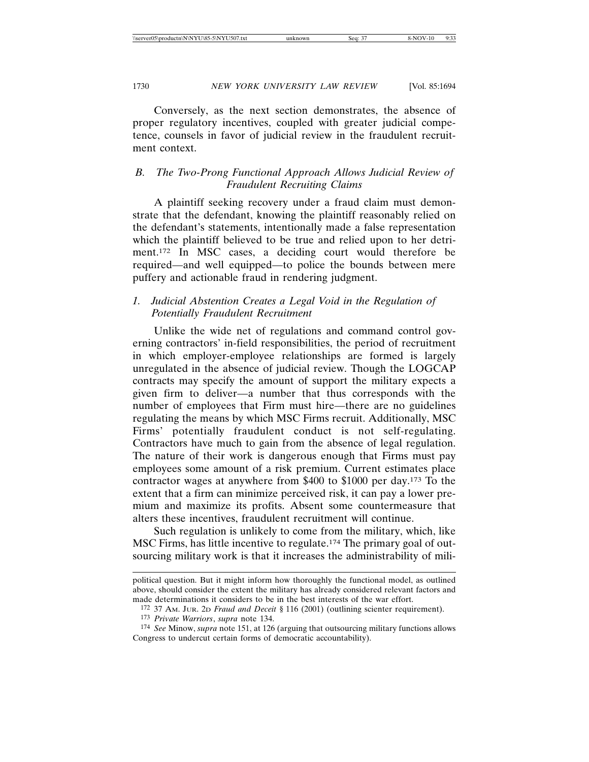Conversely, as the next section demonstrates, the absence of proper regulatory incentives, coupled with greater judicial competence, counsels in favor of judicial review in the fraudulent recruitment context.

### *B. The Two-Prong Functional Approach Allows Judicial Review of Fraudulent Recruiting Claims*

A plaintiff seeking recovery under a fraud claim must demonstrate that the defendant, knowing the plaintiff reasonably relied on the defendant's statements, intentionally made a false representation which the plaintiff believed to be true and relied upon to her detriment.172 In MSC cases, a deciding court would therefore be required—and well equipped—to police the bounds between mere puffery and actionable fraud in rendering judgment.

### *1. Judicial Abstention Creates a Legal Void in the Regulation of Potentially Fraudulent Recruitment*

Unlike the wide net of regulations and command control governing contractors' in-field responsibilities, the period of recruitment in which employer-employee relationships are formed is largely unregulated in the absence of judicial review. Though the LOGCAP contracts may specify the amount of support the military expects a given firm to deliver—a number that thus corresponds with the number of employees that Firm must hire—there are no guidelines regulating the means by which MSC Firms recruit. Additionally, MSC Firms' potentially fraudulent conduct is not self-regulating. Contractors have much to gain from the absence of legal regulation. The nature of their work is dangerous enough that Firms must pay employees some amount of a risk premium. Current estimates place contractor wages at anywhere from \$400 to \$1000 per day.173 To the extent that a firm can minimize perceived risk, it can pay a lower premium and maximize its profits. Absent some countermeasure that alters these incentives, fraudulent recruitment will continue.

Such regulation is unlikely to come from the military, which, like MSC Firms, has little incentive to regulate.174 The primary goal of outsourcing military work is that it increases the administrability of mili-

political question. But it might inform how thoroughly the functional model, as outlined above, should consider the extent the military has already considered relevant factors and made determinations it considers to be in the best interests of the war effort.

<sup>172</sup> 37 AM. JUR. 2D *Fraud and Deceit* § 116 (2001) (outlining scienter requirement).

<sup>173</sup> *Private Warriors*, *supra* note 134.

<sup>174</sup> *See* Minow, *supra* note 151, at 126 (arguing that outsourcing military functions allows Congress to undercut certain forms of democratic accountability).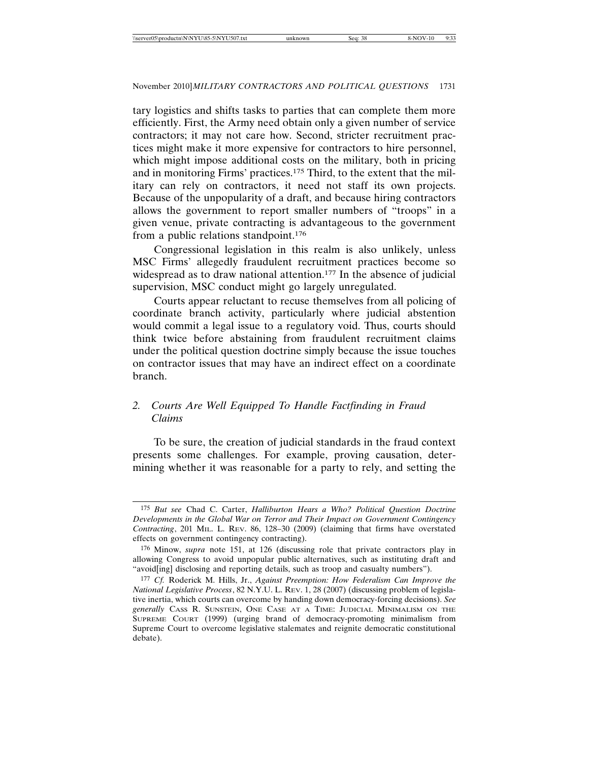tary logistics and shifts tasks to parties that can complete them more efficiently. First, the Army need obtain only a given number of service contractors; it may not care how. Second, stricter recruitment practices might make it more expensive for contractors to hire personnel, which might impose additional costs on the military, both in pricing and in monitoring Firms' practices.175 Third, to the extent that the military can rely on contractors, it need not staff its own projects. Because of the unpopularity of a draft, and because hiring contractors allows the government to report smaller numbers of "troops" in a given venue, private contracting is advantageous to the government from a public relations standpoint.176

Congressional legislation in this realm is also unlikely, unless MSC Firms' allegedly fraudulent recruitment practices become so widespread as to draw national attention.<sup>177</sup> In the absence of judicial supervision, MSC conduct might go largely unregulated.

Courts appear reluctant to recuse themselves from all policing of coordinate branch activity, particularly where judicial abstention would commit a legal issue to a regulatory void. Thus, courts should think twice before abstaining from fraudulent recruitment claims under the political question doctrine simply because the issue touches on contractor issues that may have an indirect effect on a coordinate branch.

# *2. Courts Are Well Equipped To Handle Factfinding in Fraud Claims*

To be sure, the creation of judicial standards in the fraud context presents some challenges. For example, proving causation, determining whether it was reasonable for a party to rely, and setting the

<sup>175</sup> *But see* Chad C. Carter, *Halliburton Hears a Who? Political Question Doctrine Developments in the Global War on Terror and Their Impact on Government Contingency Contracting*, 201 MIL. L. REV. 86, 128–30 (2009) (claiming that firms have overstated effects on government contingency contracting).

<sup>176</sup> Minow, *supra* note 151, at 126 (discussing role that private contractors play in allowing Congress to avoid unpopular public alternatives, such as instituting draft and "avoid[ing] disclosing and reporting details, such as troop and casualty numbers").

<sup>177</sup> *Cf.* Roderick M. Hills, Jr., *Against Preemption: How Federalism Can Improve the National Legislative Process*, 82 N.Y.U. L. REV. 1, 28 (2007) (discussing problem of legislative inertia, which courts can overcome by handing down democracy-forcing decisions). *See generally* CASS R. SUNSTEIN, ONE CASE AT A TIME: JUDICIAL MINIMALISM ON THE SUPREME COURT (1999) (urging brand of democracy-promoting minimalism from Supreme Court to overcome legislative stalemates and reignite democratic constitutional debate).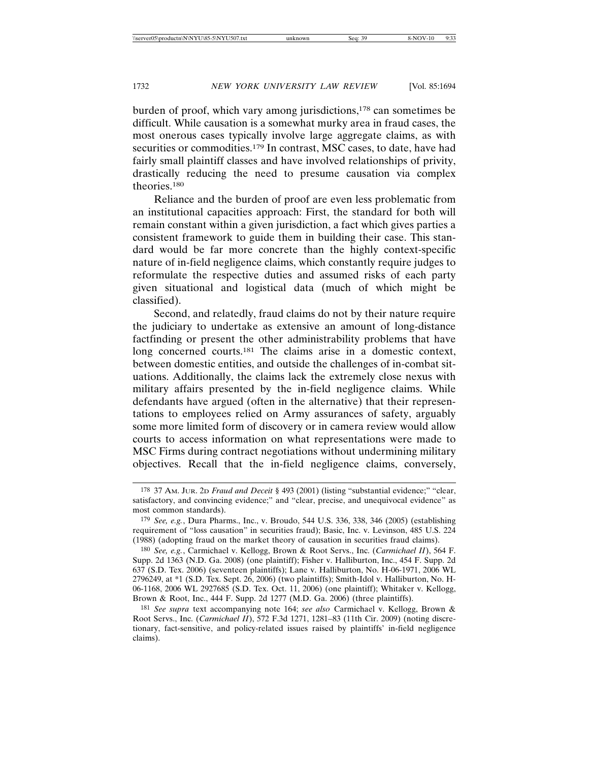burden of proof, which vary among jurisdictions,<sup>178</sup> can sometimes be difficult. While causation is a somewhat murky area in fraud cases, the most onerous cases typically involve large aggregate claims, as with securities or commodities.<sup>179</sup> In contrast, MSC cases, to date, have had fairly small plaintiff classes and have involved relationships of privity, drastically reducing the need to presume causation via complex theories.180

Reliance and the burden of proof are even less problematic from an institutional capacities approach: First, the standard for both will remain constant within a given jurisdiction, a fact which gives parties a consistent framework to guide them in building their case. This standard would be far more concrete than the highly context-specific nature of in-field negligence claims, which constantly require judges to reformulate the respective duties and assumed risks of each party given situational and logistical data (much of which might be classified).

Second, and relatedly, fraud claims do not by their nature require the judiciary to undertake as extensive an amount of long-distance factfinding or present the other administrability problems that have long concerned courts.181 The claims arise in a domestic context, between domestic entities, and outside the challenges of in-combat situations. Additionally, the claims lack the extremely close nexus with military affairs presented by the in-field negligence claims. While defendants have argued (often in the alternative) that their representations to employees relied on Army assurances of safety, arguably some more limited form of discovery or in camera review would allow courts to access information on what representations were made to MSC Firms during contract negotiations without undermining military objectives. Recall that the in-field negligence claims, conversely,

<sup>178</sup> 37 AM. JUR. 2D *Fraud and Deceit* § 493 (2001) (listing "substantial evidence;" "clear, satisfactory, and convincing evidence;" and "clear, precise, and unequivocal evidence" as most common standards).

<sup>179</sup> *See, e.g.*, Dura Pharms., Inc., v. Broudo, 544 U.S. 336, 338, 346 (2005) (establishing requirement of "loss causation" in securities fraud); Basic, Inc. v. Levinson, 485 U.S. 224 (1988) (adopting fraud on the market theory of causation in securities fraud claims).

<sup>180</sup> *See, e.g.*, Carmichael v. Kellogg, Brown & Root Servs., Inc. (*Carmichael II*), 564 F. Supp. 2d 1363 (N.D. Ga. 2008) (one plaintiff); Fisher v. Halliburton, Inc., 454 F. Supp. 2d 637 (S.D. Tex. 2006) (seventeen plaintiffs); Lane v. Halliburton, No. H-06-1971, 2006 WL 2796249, at \*1 (S.D. Tex. Sept. 26, 2006) (two plaintiffs); Smith-Idol v. Halliburton, No. H-06-1168, 2006 WL 2927685 (S.D. Tex. Oct. 11, 2006) (one plaintiff); Whitaker v. Kellogg, Brown & Root, Inc., 444 F. Supp. 2d 1277 (M.D. Ga. 2006) (three plaintiffs).

<sup>181</sup> *See supra* text accompanying note 164; *see also* Carmichael v. Kellogg, Brown & Root Servs., Inc. (*Carmichael II*), 572 F.3d 1271, 1281–83 (11th Cir. 2009) (noting discretionary, fact-sensitive, and policy-related issues raised by plaintiffs' in-field negligence claims).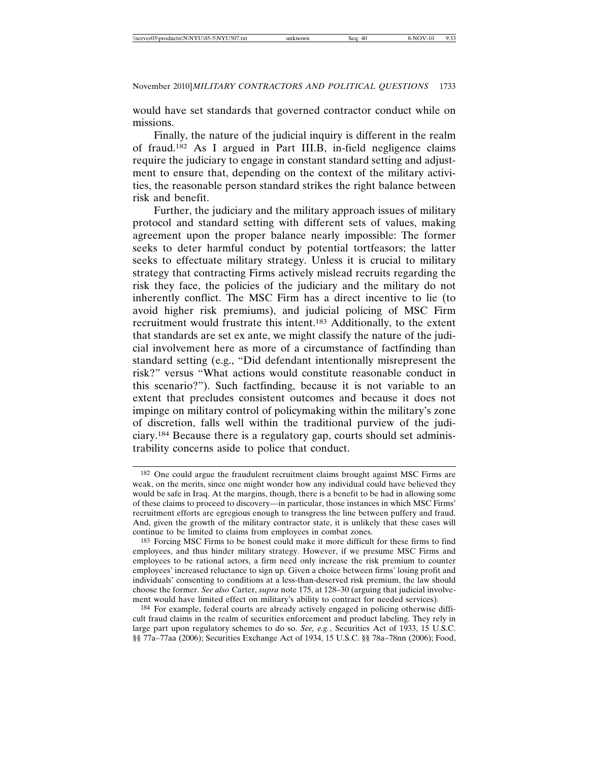would have set standards that governed contractor conduct while on missions.

Finally, the nature of the judicial inquiry is different in the realm of fraud.182 As I argued in Part III.B, in-field negligence claims require the judiciary to engage in constant standard setting and adjustment to ensure that, depending on the context of the military activities, the reasonable person standard strikes the right balance between risk and benefit.

Further, the judiciary and the military approach issues of military protocol and standard setting with different sets of values, making agreement upon the proper balance nearly impossible: The former seeks to deter harmful conduct by potential tortfeasors; the latter seeks to effectuate military strategy. Unless it is crucial to military strategy that contracting Firms actively mislead recruits regarding the risk they face, the policies of the judiciary and the military do not inherently conflict. The MSC Firm has a direct incentive to lie (to avoid higher risk premiums), and judicial policing of MSC Firm recruitment would frustrate this intent.183 Additionally, to the extent that standards are set ex ante, we might classify the nature of the judicial involvement here as more of a circumstance of factfinding than standard setting (e.g., "Did defendant intentionally misrepresent the risk?" versus "What actions would constitute reasonable conduct in this scenario?"). Such factfinding, because it is not variable to an extent that precludes consistent outcomes and because it does not impinge on military control of policymaking within the military's zone of discretion, falls well within the traditional purview of the judiciary.184 Because there is a regulatory gap, courts should set administrability concerns aside to police that conduct.

183 Forcing MSC Firms to be honest could make it more difficult for these firms to find employees, and thus hinder military strategy. However, if we presume MSC Firms and employees to be rational actors, a firm need only increase the risk premium to counter employees' increased reluctance to sign up. Given a choice between firms' losing profit and individuals' consenting to conditions at a less-than-deserved risk premium, the law should choose the former. *See also* Carter, *supra* note 175, at 128–30 (arguing that judicial involvement would have limited effect on military's ability to contract for needed services).

184 For example, federal courts are already actively engaged in policing otherwise difficult fraud claims in the realm of securities enforcement and product labeling. They rely in large part upon regulatory schemes to do so. *See, e.g.*, Securities Act of 1933, 15 U.S.C. §§ 77a–77aa (2006); Securities Exchange Act of 1934, 15 U.S.C. §§ 78a–78nn (2006); Food,

<sup>182</sup> One could argue the fraudulent recruitment claims brought against MSC Firms are weak, on the merits, since one might wonder how any individual could have believed they would be safe in Iraq. At the margins, though, there is a benefit to be had in allowing some of these claims to proceed to discovery—in particular, those instances in which MSC Firms' recruitment efforts are egregious enough to transgress the line between puffery and fraud. And, given the growth of the military contractor state, it is unlikely that these cases will continue to be limited to claims from employees in combat zones.